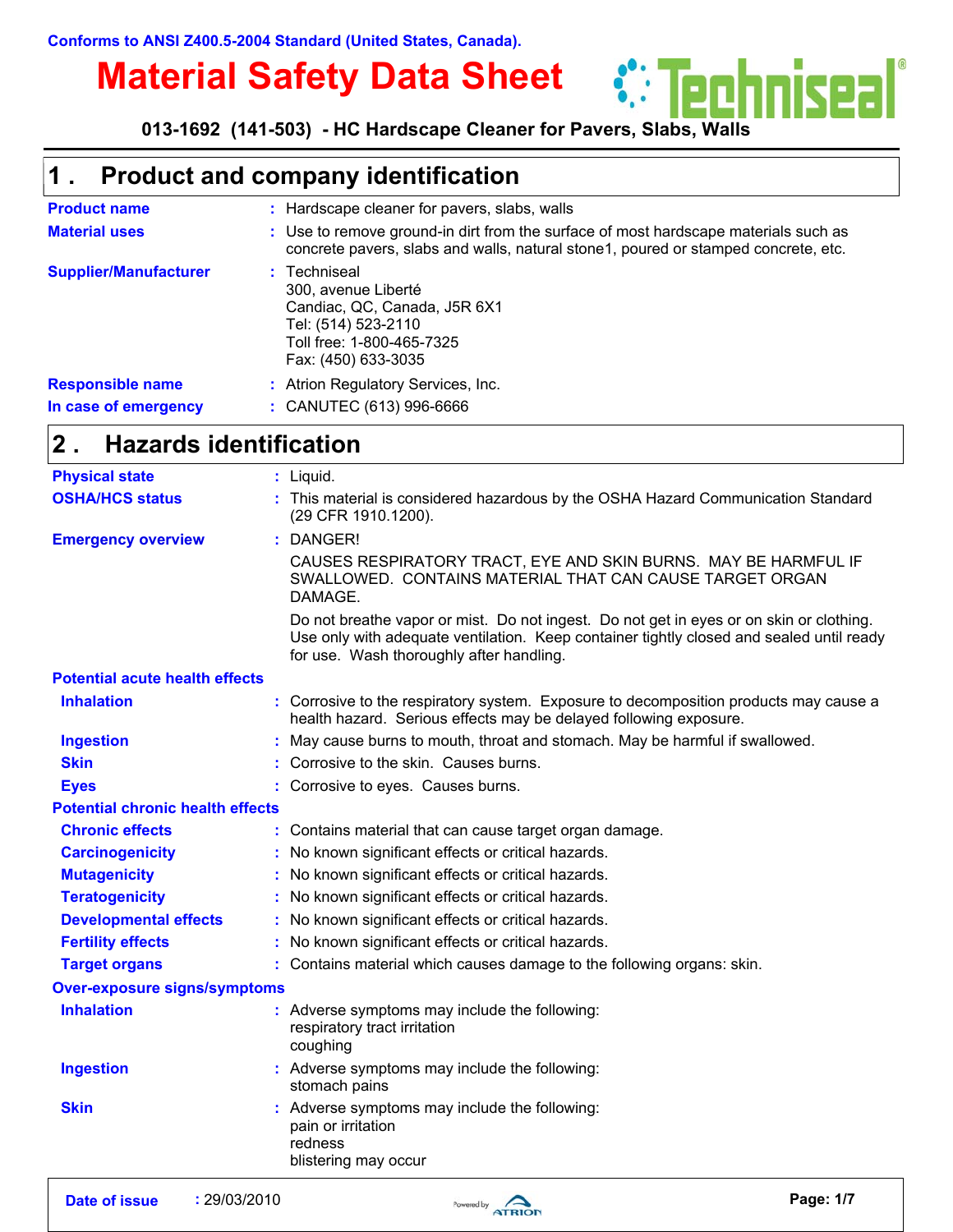# **Material Safety Data Sheet**

*<u>\*\* Techniseal</u>* **013-1692 (141-503) - HC Hardscape Cleaner for Pavers, Slabs, Walls**

#### **Product and company identification 1 .**

| <b>Product name</b>                             | : Hardscape cleaner for pavers, slabs, walls                                                                                                                              |
|-------------------------------------------------|---------------------------------------------------------------------------------------------------------------------------------------------------------------------------|
| <b>Material uses</b>                            | : Use to remove ground-in dirt from the surface of most hardscape materials such as<br>concrete pavers, slabs and walls, natural stone1, poured or stamped concrete, etc. |
| <b>Supplier/Manufacturer</b>                    | : Techniseal<br>300, avenue Liberté<br>Candiac, QC, Canada, J5R 6X1<br>Tel: (514) 523-2110<br>Toll free: 1-800-465-7325<br>Fax: (450) 633-3035                            |
| <b>Responsible name</b><br>In case of emergency | : Atrion Regulatory Services, Inc.<br>$:$ CANUTEC (613) 996-6666                                                                                                          |

#### **Hazards identification 2 .**

| <b>Physical state</b>                   | $:$ Liquid.                                                                                                                                                                                                                     |
|-----------------------------------------|---------------------------------------------------------------------------------------------------------------------------------------------------------------------------------------------------------------------------------|
| <b>OSHA/HCS status</b>                  | : This material is considered hazardous by the OSHA Hazard Communication Standard<br>(29 CFR 1910.1200).                                                                                                                        |
| <b>Emergency overview</b>               | : DANGER!                                                                                                                                                                                                                       |
|                                         | CAUSES RESPIRATORY TRACT, EYE AND SKIN BURNS. MAY BE HARMFUL IF<br>SWALLOWED. CONTAINS MATERIAL THAT CAN CAUSE TARGET ORGAN<br>DAMAGE.                                                                                          |
|                                         | Do not breathe vapor or mist. Do not ingest. Do not get in eyes or on skin or clothing.<br>Use only with adequate ventilation. Keep container tightly closed and sealed until ready<br>for use. Wash thoroughly after handling. |
| <b>Potential acute health effects</b>   |                                                                                                                                                                                                                                 |
| <b>Inhalation</b>                       | : Corrosive to the respiratory system. Exposure to decomposition products may cause a<br>health hazard. Serious effects may be delayed following exposure.                                                                      |
| <b>Ingestion</b>                        | : May cause burns to mouth, throat and stomach. May be harmful if swallowed.                                                                                                                                                    |
| <b>Skin</b>                             | : Corrosive to the skin. Causes burns.                                                                                                                                                                                          |
| <b>Eyes</b>                             | : Corrosive to eyes. Causes burns.                                                                                                                                                                                              |
| <b>Potential chronic health effects</b> |                                                                                                                                                                                                                                 |
| <b>Chronic effects</b>                  | : Contains material that can cause target organ damage.                                                                                                                                                                         |
| <b>Carcinogenicity</b>                  | : No known significant effects or critical hazards.                                                                                                                                                                             |
| <b>Mutagenicity</b>                     | : No known significant effects or critical hazards.                                                                                                                                                                             |
| <b>Teratogenicity</b>                   | : No known significant effects or critical hazards.                                                                                                                                                                             |
| <b>Developmental effects</b>            | : No known significant effects or critical hazards.                                                                                                                                                                             |
| <b>Fertility effects</b>                | : No known significant effects or critical hazards.                                                                                                                                                                             |
| <b>Target organs</b>                    | : Contains material which causes damage to the following organs: skin.                                                                                                                                                          |
| <b>Over-exposure signs/symptoms</b>     |                                                                                                                                                                                                                                 |
| <b>Inhalation</b>                       | : Adverse symptoms may include the following:<br>respiratory tract irritation<br>coughing                                                                                                                                       |
| <b>Ingestion</b>                        | : Adverse symptoms may include the following:<br>stomach pains                                                                                                                                                                  |
| <b>Skin</b>                             | : Adverse symptoms may include the following:<br>pain or irritation<br>redness<br>blistering may occur                                                                                                                          |

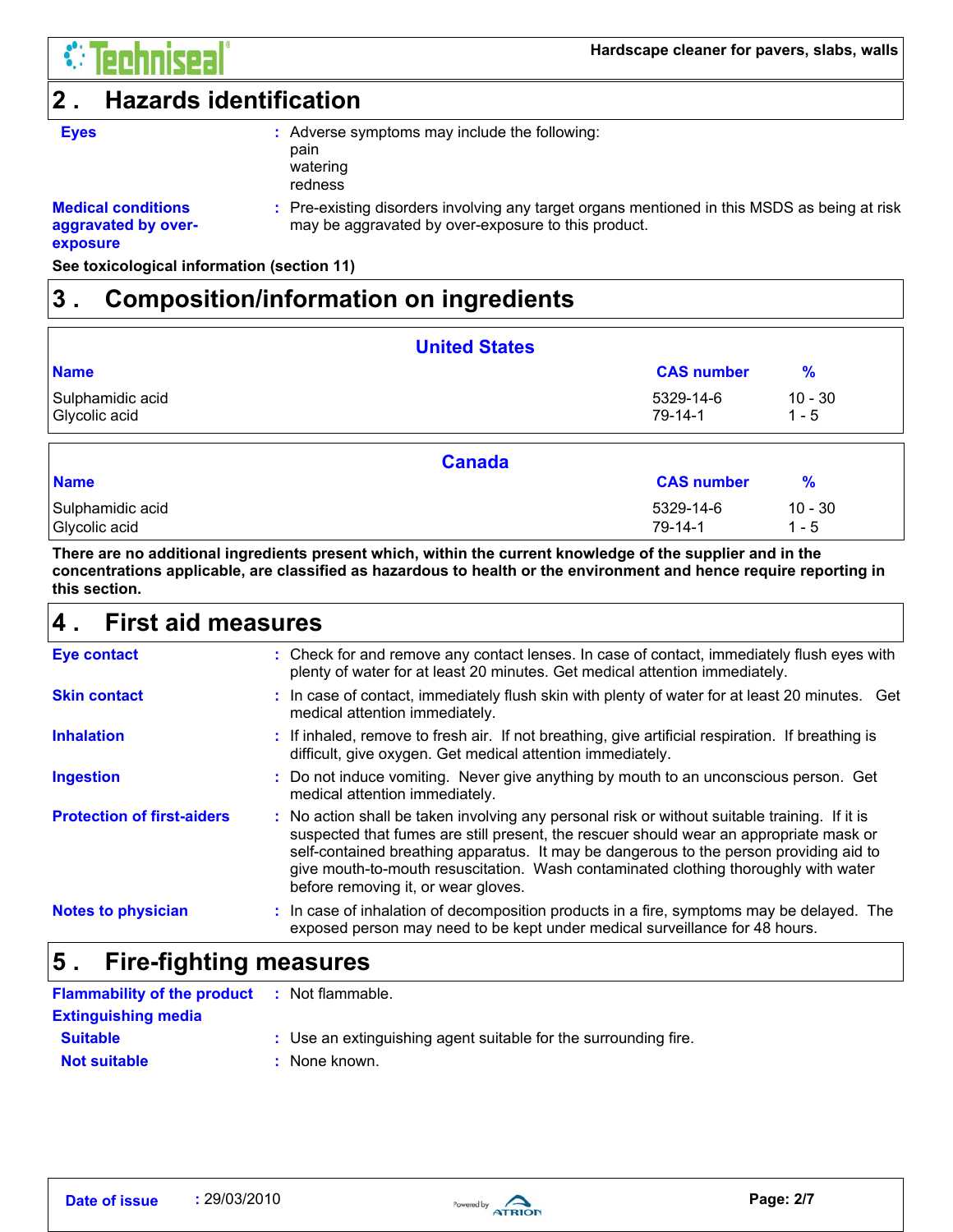

### **2 . Hazards identification**

| <b>Eyes</b> | : Adverse symptoms may include the following:<br>pain |
|-------------|-------------------------------------------------------|
|             | watering<br>redness                                   |
|             |                                                       |

### **Medical conditions aggravated by over-**

Pre-existing disorders involving any target organs mentioned in this MSDS as being at risk **:** may be aggravated by over-exposure to this product.

### **exposure**

**See toxicological information (section 11)**

### **3 . Composition/information on ingredients**

|                                   | <b>United States</b>       |                      |
|-----------------------------------|----------------------------|----------------------|
| <b>Name</b>                       | <b>CAS number</b>          | $\%$                 |
| Sulphamidic acid<br>Glycolic acid | 5329-14-6<br>$79 - 14 - 1$ | $10 - 30$<br>$1 - 5$ |
|                                   | <b>Canada</b>              |                      |
| <b>Name</b>                       | <b>CAS number</b>          | $\frac{9}{6}$        |
| Sulphamidic acid                  | 5329-14-6                  | $10 - 30$            |
| Glycolic acid                     | $79 - 14 - 1$              | $1 - 5$              |

**There are no additional ingredients present which, within the current knowledge of the supplier and in the concentrations applicable, are classified as hazardous to health or the environment and hence require reporting in this section.**

#### **First aid measures 4 .**

| <b>Eye contact</b>                | : Check for and remove any contact lenses. In case of contact, immediately flush eyes with<br>plenty of water for at least 20 minutes. Get medical attention immediately.                                                                                                                                                                                                                                       |
|-----------------------------------|-----------------------------------------------------------------------------------------------------------------------------------------------------------------------------------------------------------------------------------------------------------------------------------------------------------------------------------------------------------------------------------------------------------------|
| <b>Skin contact</b>               | : In case of contact, immediately flush skin with plenty of water for at least 20 minutes. Get<br>medical attention immediately.                                                                                                                                                                                                                                                                                |
| <b>Inhalation</b>                 | : If inhaled, remove to fresh air. If not breathing, give artificial respiration. If breathing is<br>difficult, give oxygen. Get medical attention immediately.                                                                                                                                                                                                                                                 |
| <b>Ingestion</b>                  | : Do not induce vomiting. Never give anything by mouth to an unconscious person. Get<br>medical attention immediately.                                                                                                                                                                                                                                                                                          |
| <b>Protection of first-aiders</b> | : No action shall be taken involving any personal risk or without suitable training. If it is<br>suspected that fumes are still present, the rescuer should wear an appropriate mask or<br>self-contained breathing apparatus. It may be dangerous to the person providing aid to<br>give mouth-to-mouth resuscitation. Wash contaminated clothing thoroughly with water<br>before removing it, or wear gloves. |
| <b>Notes to physician</b>         | : In case of inhalation of decomposition products in a fire, symptoms may be delayed. The<br>exposed person may need to be kept under medical surveillance for 48 hours.                                                                                                                                                                                                                                        |

#### **Fire-fighting measures 5 .**

| <b>Flammability of the product</b> | : Not flammable.                                                |
|------------------------------------|-----------------------------------------------------------------|
| <b>Extinguishing media</b>         |                                                                 |
| <b>Suitable</b>                    | : Use an extinguishing agent suitable for the surrounding fire. |
| <b>Not suitable</b>                | : None known.                                                   |

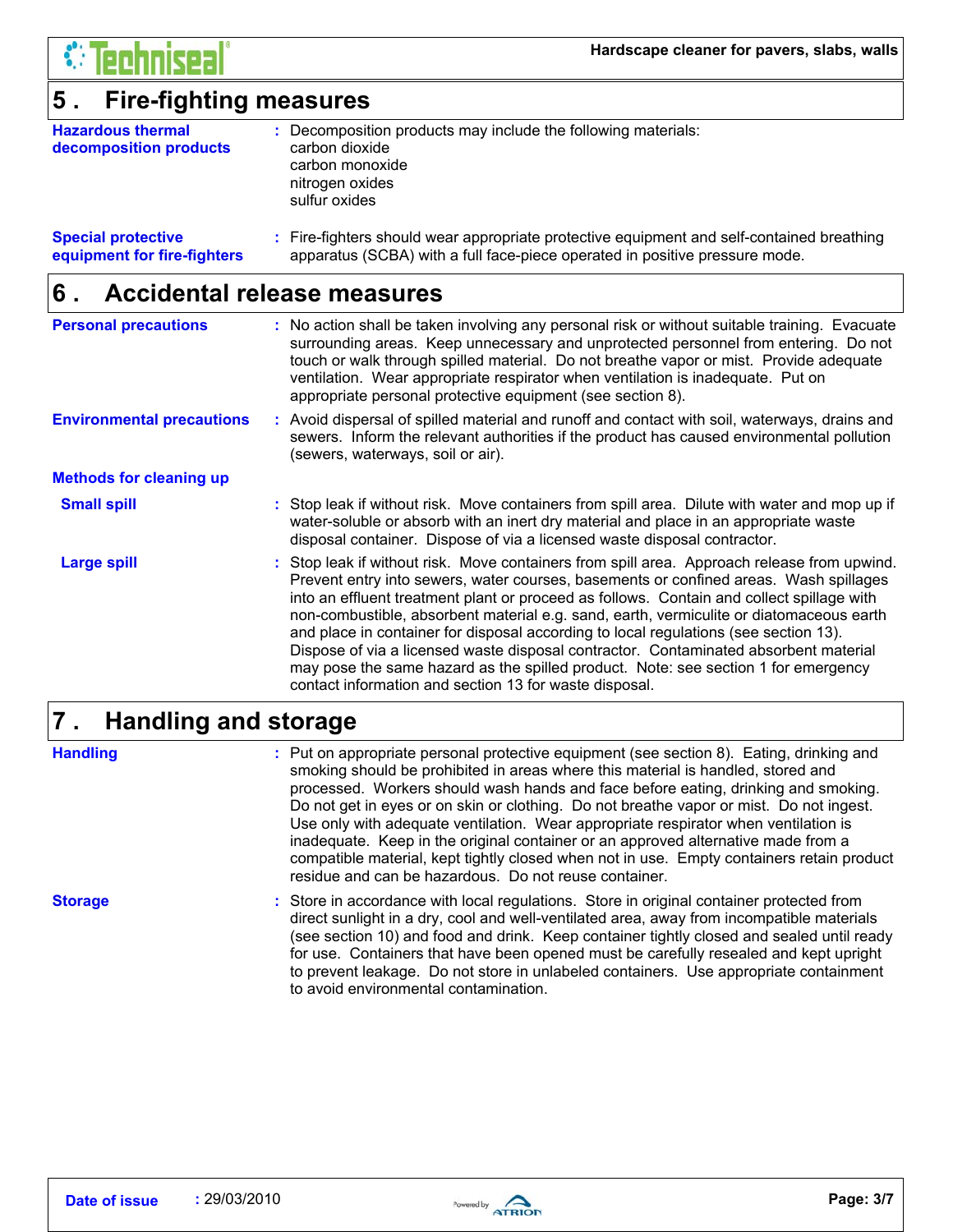

### **5 . Fire-fighting measures**

| <b>Hazardous thermal</b><br>decomposition products | : Decomposition products may include the following materials:<br>carbon dioxide<br>carbon monoxide<br>nitrogen oxides<br>sulfur oxides |
|----------------------------------------------------|----------------------------------------------------------------------------------------------------------------------------------------|
|                                                    |                                                                                                                                        |

#### **Special protective equipment for fire-fighters** Fire-fighters should wear appropriate protective equipment and self-contained breathing **:** apparatus (SCBA) with a full face-piece operated in positive pressure mode.

#### **Accidental release measures 6 .**

| <b>Personal precautions</b>      | : No action shall be taken involving any personal risk or without suitable training. Evacuate<br>surrounding areas. Keep unnecessary and unprotected personnel from entering. Do not<br>touch or walk through spilled material. Do not breathe vapor or mist. Provide adequate<br>ventilation. Wear appropriate respirator when ventilation is inadequate. Put on<br>appropriate personal protective equipment (see section 8).                                                                                                                                                                                                                                                                              |
|----------------------------------|--------------------------------------------------------------------------------------------------------------------------------------------------------------------------------------------------------------------------------------------------------------------------------------------------------------------------------------------------------------------------------------------------------------------------------------------------------------------------------------------------------------------------------------------------------------------------------------------------------------------------------------------------------------------------------------------------------------|
| <b>Environmental precautions</b> | : Avoid dispersal of spilled material and runoff and contact with soil, waterways, drains and<br>sewers. Inform the relevant authorities if the product has caused environmental pollution<br>(sewers, waterways, soil or air).                                                                                                                                                                                                                                                                                                                                                                                                                                                                              |
| <b>Methods for cleaning up</b>   |                                                                                                                                                                                                                                                                                                                                                                                                                                                                                                                                                                                                                                                                                                              |
| <b>Small spill</b>               | : Stop leak if without risk. Move containers from spill area. Dilute with water and mop up if<br>water-soluble or absorb with an inert dry material and place in an appropriate waste<br>disposal container. Dispose of via a licensed waste disposal contractor.                                                                                                                                                                                                                                                                                                                                                                                                                                            |
| <b>Large spill</b>               | : Stop leak if without risk. Move containers from spill area. Approach release from upwind.<br>Prevent entry into sewers, water courses, basements or confined areas. Wash spillages<br>into an effluent treatment plant or proceed as follows. Contain and collect spillage with<br>non-combustible, absorbent material e.g. sand, earth, vermiculite or diatomaceous earth<br>and place in container for disposal according to local regulations (see section 13).<br>Dispose of via a licensed waste disposal contractor. Contaminated absorbent material<br>may pose the same hazard as the spilled product. Note: see section 1 for emergency<br>contact information and section 13 for waste disposal. |

#### **Handling and storage 7 .**

**Handling**

Put on appropriate personal protective equipment (see section 8). Eating, drinking and **:** smoking should be prohibited in areas where this material is handled, stored and processed. Workers should wash hands and face before eating, drinking and smoking. Do not get in eyes or on skin or clothing. Do not breathe vapor or mist. Do not ingest. Use only with adequate ventilation. Wear appropriate respirator when ventilation is inadequate. Keep in the original container or an approved alternative made from a compatible material, kept tightly closed when not in use. Empty containers retain product residue and can be hazardous. Do not reuse container.

**Storage**

Store in accordance with local regulations. Store in original container protected from **:** direct sunlight in a dry, cool and well-ventilated area, away from incompatible materials (see section 10) and food and drink. Keep container tightly closed and sealed until ready for use. Containers that have been opened must be carefully resealed and kept upright to prevent leakage. Do not store in unlabeled containers. Use appropriate containment to avoid environmental contamination.

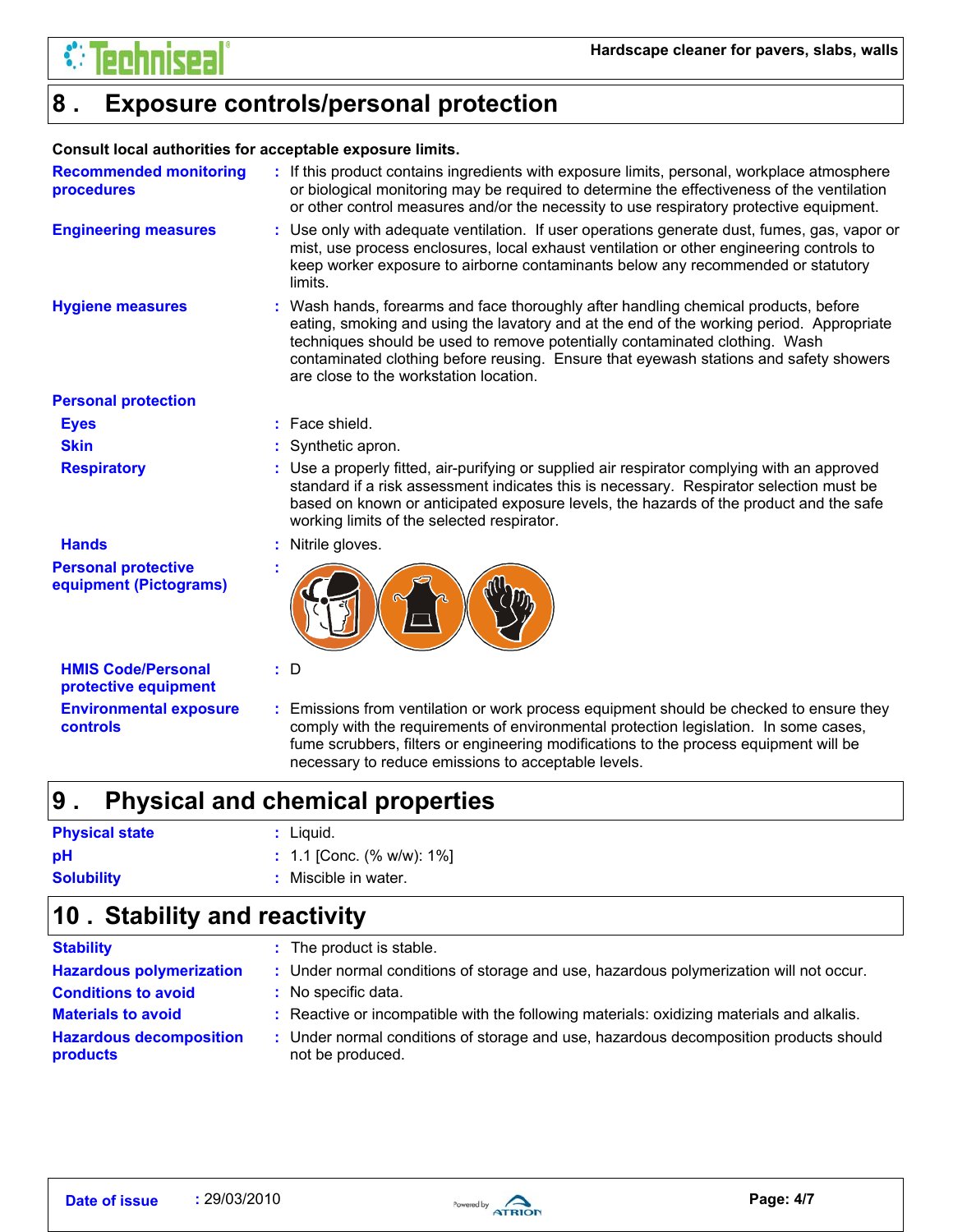

#### **Exposure controls/personal protection 8 .**

### **Consult local authorities for acceptable exposure limits.**

| <b>Recommended monitoring</b><br><b>procedures</b>   | : If this product contains ingredients with exposure limits, personal, workplace atmosphere<br>or biological monitoring may be required to determine the effectiveness of the ventilation<br>or other control measures and/or the necessity to use respiratory protective equipment.                                                                                                              |
|------------------------------------------------------|---------------------------------------------------------------------------------------------------------------------------------------------------------------------------------------------------------------------------------------------------------------------------------------------------------------------------------------------------------------------------------------------------|
| <b>Engineering measures</b>                          | : Use only with adequate ventilation. If user operations generate dust, fumes, gas, vapor or<br>mist, use process enclosures, local exhaust ventilation or other engineering controls to<br>keep worker exposure to airborne contaminants below any recommended or statutory<br>limits.                                                                                                           |
| <b>Hygiene measures</b>                              | : Wash hands, forearms and face thoroughly after handling chemical products, before<br>eating, smoking and using the lavatory and at the end of the working period. Appropriate<br>techniques should be used to remove potentially contaminated clothing. Wash<br>contaminated clothing before reusing. Ensure that eyewash stations and safety showers<br>are close to the workstation location. |
| <b>Personal protection</b>                           |                                                                                                                                                                                                                                                                                                                                                                                                   |
| <b>Eyes</b>                                          | $:$ Face shield.                                                                                                                                                                                                                                                                                                                                                                                  |
| <b>Skin</b>                                          | Synthetic apron.                                                                                                                                                                                                                                                                                                                                                                                  |
| <b>Respiratory</b>                                   | : Use a properly fitted, air-purifying or supplied air respirator complying with an approved<br>standard if a risk assessment indicates this is necessary. Respirator selection must be<br>based on known or anticipated exposure levels, the hazards of the product and the safe<br>working limits of the selected respirator.                                                                   |
| <b>Hands</b>                                         | Nitrile gloves.                                                                                                                                                                                                                                                                                                                                                                                   |
| <b>Personal protective</b><br>equipment (Pictograms) |                                                                                                                                                                                                                                                                                                                                                                                                   |
| <b>HMIS Code/Personal</b><br>protective equipment    | D                                                                                                                                                                                                                                                                                                                                                                                                 |
| <b>Environmental exposure</b><br><b>controls</b>     | Emissions from ventilation or work process equipment should be checked to ensure they<br>comply with the requirements of environmental protection legislation. In some cases,<br>fume scrubbers, filters or engineering modifications to the process equipment will be<br>necessary to reduce emissions to acceptable levels.                                                                     |

#### **Physical and chemical properties 9 .**

| <b>Physical state</b> | : Liquid.                   |
|-----------------------|-----------------------------|
| рH                    | $: 1.1$ [Conc. (% w/w): 1%] |
| <b>Solubility</b>     | : Miscible in water.        |

### **Stability and reactivity 10 .**

| <b>Stability</b>                           | : The product is stable.                                                                                  |
|--------------------------------------------|-----------------------------------------------------------------------------------------------------------|
| <b>Hazardous polymerization</b>            | : Under normal conditions of storage and use, hazardous polymerization will not occur.                    |
| <b>Conditions to avoid</b>                 | : No specific data.                                                                                       |
| <b>Materials to avoid</b>                  | : Reactive or incompatible with the following materials: oxidizing materials and alkalis.                 |
| <b>Hazardous decomposition</b><br>products | : Under normal conditions of storage and use, hazardous decomposition products should<br>not be produced. |

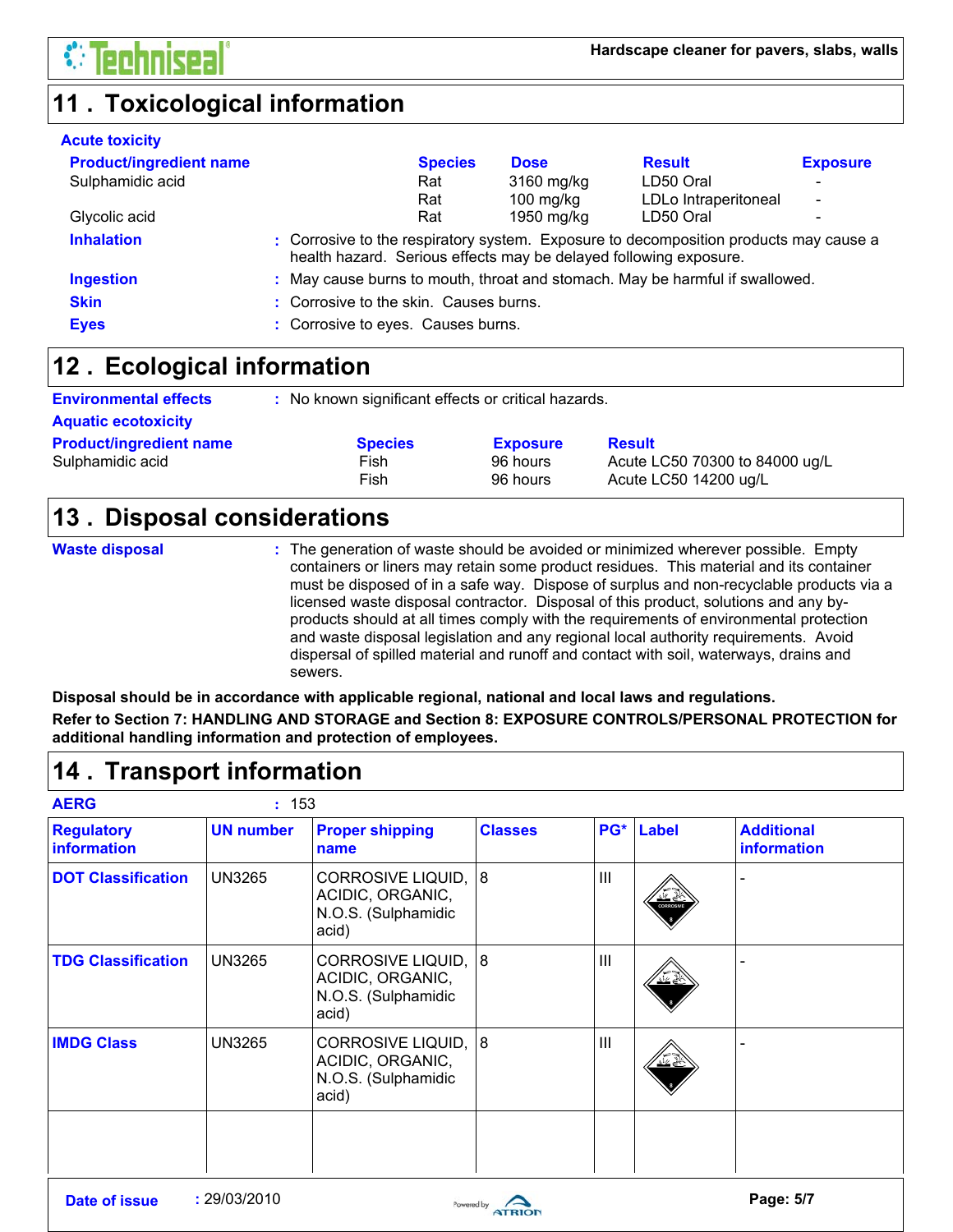### **11 . Toxicological information**

| <b>Acute toxicity</b>          |                                        |                |                                                                   |                                                                                       |                          |
|--------------------------------|----------------------------------------|----------------|-------------------------------------------------------------------|---------------------------------------------------------------------------------------|--------------------------|
| <b>Product/ingredient name</b> |                                        | <b>Species</b> | <b>Dose</b>                                                       | <b>Result</b>                                                                         | <b>Exposure</b>          |
| Sulphamidic acid               |                                        | Rat            | 3160 mg/kg                                                        | LD50 Oral                                                                             | $\overline{\phantom{0}}$ |
|                                |                                        | Rat            | 100 mg/kg                                                         | LDLo Intraperitoneal                                                                  | $\overline{\phantom{a}}$ |
| Glycolic acid                  |                                        | Rat            | 1950 mg/kg                                                        | LD50 Oral                                                                             | -                        |
| <b>Inhalation</b>              |                                        |                | health hazard. Serious effects may be delayed following exposure. | : Corrosive to the respiratory system. Exposure to decomposition products may cause a |                          |
| <b>Ingestion</b>               |                                        |                |                                                                   | : May cause burns to mouth, throat and stomach. May be harmful if swallowed.          |                          |
| <b>Skin</b>                    | : Corrosive to the skin. Causes burns. |                |                                                                   |                                                                                       |                          |
| <b>Eyes</b>                    | : Corrosive to eyes. Causes burns.     |                |                                                                   |                                                                                       |                          |

### **Ecological information 12 .**

**Environmental effects** : No known significant effects or critical hazards.

| <b>Aquatic ecotoxicity</b>                         |                                |                                         |                                                                          |
|----------------------------------------------------|--------------------------------|-----------------------------------------|--------------------------------------------------------------------------|
| <b>Product/ingredient name</b><br>Sulphamidic acid | <b>Species</b><br>Fish<br>Fish | <b>Exposure</b><br>96 hours<br>96 hours | <b>Result</b><br>Acute LC50 70300 to 84000 ug/L<br>Acute LC50 14200 ug/L |

### **Disposal considerations 13 .**

**Waste disposal**

The generation of waste should be avoided or minimized wherever possible. Empty **:** containers or liners may retain some product residues. This material and its container must be disposed of in a safe way. Dispose of surplus and non-recyclable products via a licensed waste disposal contractor. Disposal of this product, solutions and any byproducts should at all times comply with the requirements of environmental protection and waste disposal legislation and any regional local authority requirements. Avoid dispersal of spilled material and runoff and contact with soil, waterways, drains and sewers.

**Disposal should be in accordance with applicable regional, national and local laws and regulations. Refer to Section 7: HANDLING AND STORAGE and Section 8: EXPOSURE CONTROLS/PERSONAL PROTECTION for additional handling information and protection of employees.**

### **Transport information 14 .**

| <b>AERG</b>                      | : 153            |                                                                              |                |                |                            |                                  |
|----------------------------------|------------------|------------------------------------------------------------------------------|----------------|----------------|----------------------------|----------------------------------|
| <b>Regulatory</b><br>information | <b>UN number</b> | <b>Proper shipping</b><br>name                                               | <b>Classes</b> | PG*            | <b>Label</b>               | <b>Additional</b><br>information |
| <b>DOT Classification</b>        | <b>UN3265</b>    | <b>CORROSIVE LIQUID,</b><br>ACIDIC, ORGANIC,<br>N.O.S. (Sulphamidic<br>acid) | 8              | III            | کے گئے<br><b>CORROSIVE</b> |                                  |
| <b>TDG Classification</b>        | <b>UN3265</b>    | <b>CORROSIVE LIQUID,</b><br>ACIDIC, ORGANIC,<br>N.O.S. (Sulphamidic<br>acid) | 8              | III            | <u>교수</u>                  |                                  |
| <b>IMDG Class</b>                | <b>UN3265</b>    | <b>CORROSIVE LIQUID,</b><br>ACIDIC, ORGANIC,<br>N.O.S. (Sulphamidic<br>acid) | 8              | $\mathbf{III}$ | يخمينه                     |                                  |
|                                  |                  |                                                                              |                |                |                            |                                  |

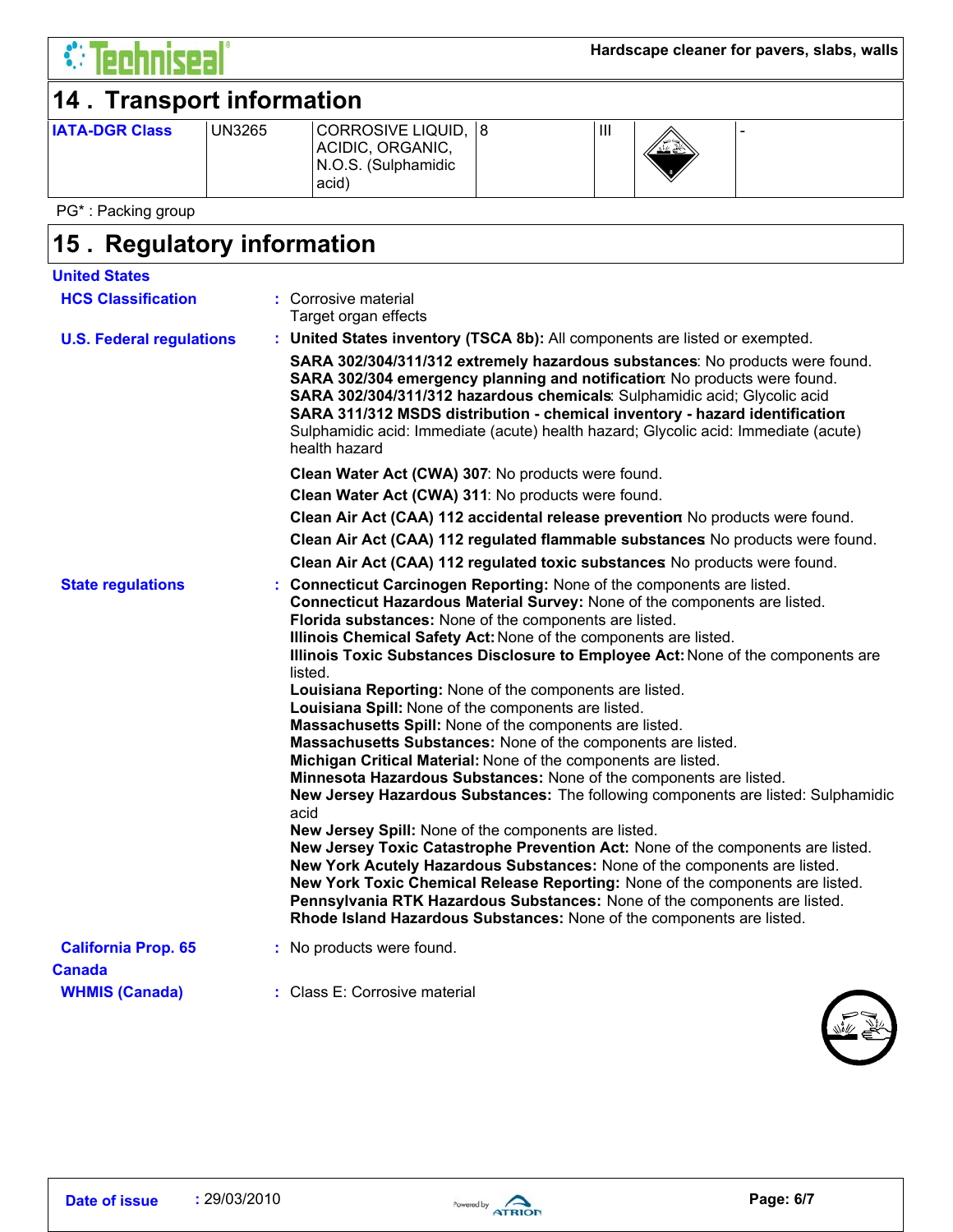

### **14 . Transport information**

| <b>IATA-DGR Class</b> | UN3265 | CORROSIVE LIQUID, 8<br>ACIDIC, ORGANIC,<br>N.O.S. (Sulphamidic<br>acid) |  | Ш | ノーーハ<br>″ <del>≝</del> €`<br>$\ddot{\mathbf{v}}$ |  |
|-----------------------|--------|-------------------------------------------------------------------------|--|---|--------------------------------------------------|--|
|-----------------------|--------|-------------------------------------------------------------------------|--|---|--------------------------------------------------|--|

PG\* : Packing group

### **Regulatory information 15 .**

| <b>United States</b>                 |                                                                                                                                                                                                                                                                                                                                                                                                                                                                                                                                                                                                                                                                                                                                                                                                                                                                                                                                                                                                                                                                                                                                                                                                                                                                                                                                 |
|--------------------------------------|---------------------------------------------------------------------------------------------------------------------------------------------------------------------------------------------------------------------------------------------------------------------------------------------------------------------------------------------------------------------------------------------------------------------------------------------------------------------------------------------------------------------------------------------------------------------------------------------------------------------------------------------------------------------------------------------------------------------------------------------------------------------------------------------------------------------------------------------------------------------------------------------------------------------------------------------------------------------------------------------------------------------------------------------------------------------------------------------------------------------------------------------------------------------------------------------------------------------------------------------------------------------------------------------------------------------------------|
| <b>HCS Classification</b>            | : Corrosive material<br>Target organ effects                                                                                                                                                                                                                                                                                                                                                                                                                                                                                                                                                                                                                                                                                                                                                                                                                                                                                                                                                                                                                                                                                                                                                                                                                                                                                    |
| <b>U.S. Federal regulations</b>      | : United States inventory (TSCA 8b): All components are listed or exempted.                                                                                                                                                                                                                                                                                                                                                                                                                                                                                                                                                                                                                                                                                                                                                                                                                                                                                                                                                                                                                                                                                                                                                                                                                                                     |
|                                      | SARA 302/304/311/312 extremely hazardous substances: No products were found.<br>SARA 302/304 emergency planning and notification: No products were found.<br>SARA 302/304/311/312 hazardous chemicals: Sulphamidic acid; Glycolic acid<br>SARA 311/312 MSDS distribution - chemical inventory - hazard identification<br>Sulphamidic acid: Immediate (acute) health hazard; Glycolic acid: Immediate (acute)<br>health hazard                                                                                                                                                                                                                                                                                                                                                                                                                                                                                                                                                                                                                                                                                                                                                                                                                                                                                                   |
|                                      | Clean Water Act (CWA) 307: No products were found.                                                                                                                                                                                                                                                                                                                                                                                                                                                                                                                                                                                                                                                                                                                                                                                                                                                                                                                                                                                                                                                                                                                                                                                                                                                                              |
|                                      | Clean Water Act (CWA) 311: No products were found.                                                                                                                                                                                                                                                                                                                                                                                                                                                                                                                                                                                                                                                                                                                                                                                                                                                                                                                                                                                                                                                                                                                                                                                                                                                                              |
|                                      | Clean Air Act (CAA) 112 accidental release prevention No products were found.                                                                                                                                                                                                                                                                                                                                                                                                                                                                                                                                                                                                                                                                                                                                                                                                                                                                                                                                                                                                                                                                                                                                                                                                                                                   |
|                                      | Clean Air Act (CAA) 112 regulated flammable substances No products were found.                                                                                                                                                                                                                                                                                                                                                                                                                                                                                                                                                                                                                                                                                                                                                                                                                                                                                                                                                                                                                                                                                                                                                                                                                                                  |
|                                      | Clean Air Act (CAA) 112 regulated toxic substances No products were found.                                                                                                                                                                                                                                                                                                                                                                                                                                                                                                                                                                                                                                                                                                                                                                                                                                                                                                                                                                                                                                                                                                                                                                                                                                                      |
| <b>State regulations</b>             | Connecticut Carcinogen Reporting: None of the components are listed.<br>Connecticut Hazardous Material Survey: None of the components are listed.<br>Florida substances: None of the components are listed.<br>Illinois Chemical Safety Act: None of the components are listed.<br>Illinois Toxic Substances Disclosure to Employee Act: None of the components are<br>listed.<br>Louisiana Reporting: None of the components are listed.<br>Louisiana Spill: None of the components are listed.<br>Massachusetts Spill: None of the components are listed.<br>Massachusetts Substances: None of the components are listed.<br>Michigan Critical Material: None of the components are listed.<br>Minnesota Hazardous Substances: None of the components are listed.<br>New Jersey Hazardous Substances: The following components are listed: Sulphamidic<br>acid<br>New Jersey Spill: None of the components are listed.<br>New Jersey Toxic Catastrophe Prevention Act: None of the components are listed.<br>New York Acutely Hazardous Substances: None of the components are listed.<br>New York Toxic Chemical Release Reporting: None of the components are listed.<br>Pennsylvania RTK Hazardous Substances: None of the components are listed.<br>Rhode Island Hazardous Substances: None of the components are listed. |
| <b>California Prop. 65</b><br>Canada | : No products were found.                                                                                                                                                                                                                                                                                                                                                                                                                                                                                                                                                                                                                                                                                                                                                                                                                                                                                                                                                                                                                                                                                                                                                                                                                                                                                                       |
| <b>WHMIS (Canada)</b>                | : Class E: Corrosive material                                                                                                                                                                                                                                                                                                                                                                                                                                                                                                                                                                                                                                                                                                                                                                                                                                                                                                                                                                                                                                                                                                                                                                                                                                                                                                   |

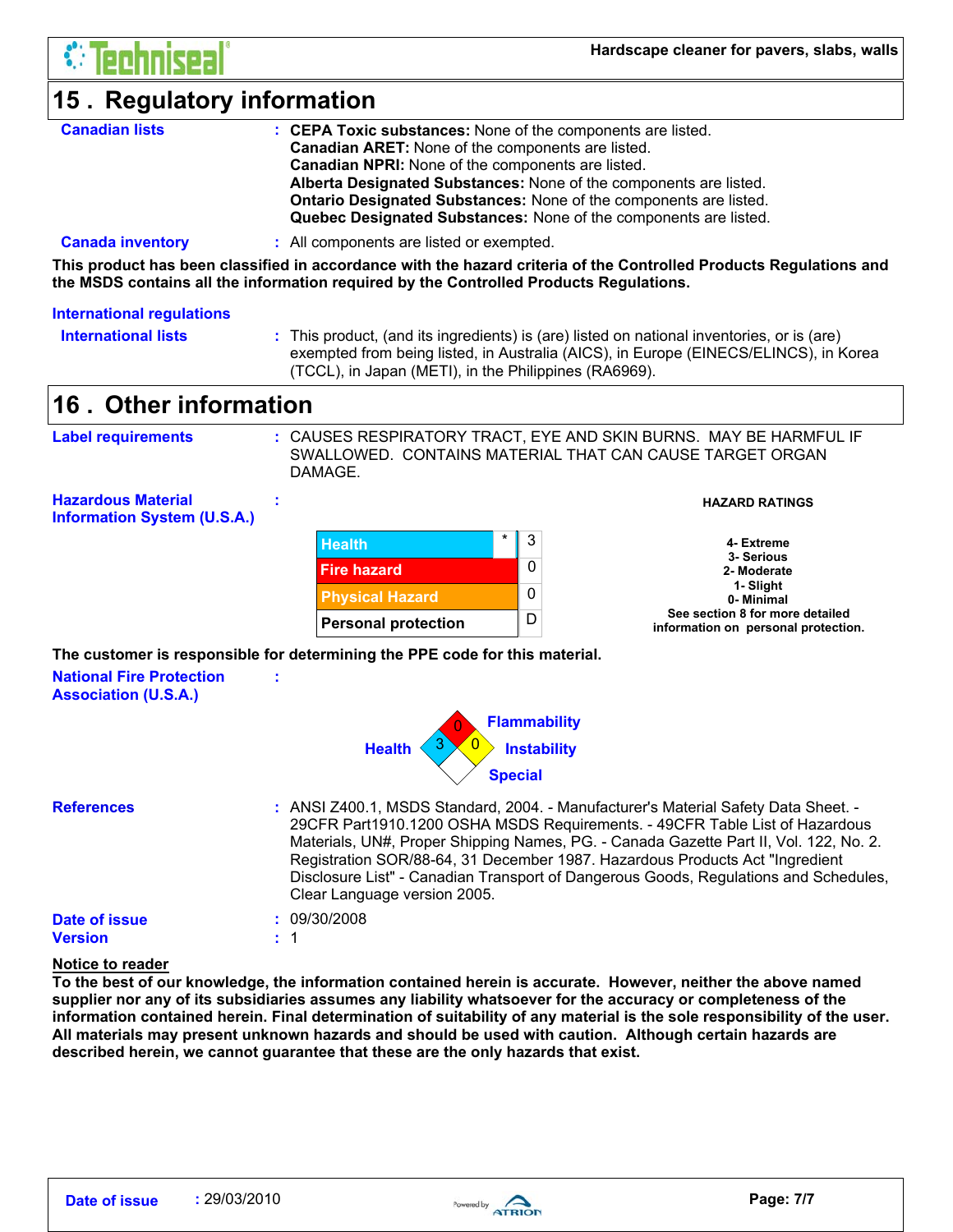### **15 . Regulatory information**

| <b>Canadian lists</b> | : CEPA Toxic substances: None of the components are listed.              |
|-----------------------|--------------------------------------------------------------------------|
|                       | <b>Canadian ARET:</b> None of the components are listed.                 |
|                       | <b>Canadian NPRI:</b> None of the components are listed.                 |
|                       | Alberta Designated Substances: None of the components are listed.        |
|                       | <b>Ontario Designated Substances: None of the components are listed.</b> |
|                       | Quebec Designated Substances: None of the components are listed.         |
|                       |                                                                          |

#### **Canada inventory** : All components are listed or exempted.

**This product has been classified in accordance with the hazard criteria of the Controlled Products Regulations and the MSDS contains all the information required by the Controlled Products Regulations.**

#### **International regulations**

**International lists :**

This product, (and its ingredients) is (are) listed on national inventories, or is (are) exempted from being listed, in Australia (AICS), in Europe (EINECS/ELINCS), in Korea (TCCL), in Japan (METI), in the Philippines (RA6969).

### **Other information 16 .**

| Label requirements | : CAUSES RESPIRATORY TRACT, EYE AND SKIN BURNS. MAY BE HARMFUL IF<br>SWALLOWED. CONTAINS MATERIAL THAT CAN CAUSE TARGET ORGAN<br>DAMAGE. |
|--------------------|------------------------------------------------------------------------------------------------------------------------------------------|
|                    |                                                                                                                                          |

**Hazardous Material Information System (U.S.A.)**



#### **HAZARD RATINGS**

|  | 4- Extreme                          |
|--|-------------------------------------|
|  | 3- Serious                          |
|  | 2- Moderate                         |
|  | 1-Slight                            |
|  | 0- Minimal                          |
|  | See section 8 for more detailed     |
|  | information on personal protection. |

**The customer is responsible for determining the PPE code for this material.**

**:**

**:**

1

**National Fire Protection Association (U.S.A.)**



**References :** ANSI Z400.1, MSDS Standard, 2004. - Manufacturer's Material Safety Data Sheet. - **Date of issue :** 09/30/2008 29CFR Part1910.1200 OSHA MSDS Requirements. - 49CFR Table List of Hazardous Materials, UN#, Proper Shipping Names, PG. - Canada Gazette Part II, Vol. 122, No. 2. Registration SOR/88-64, 31 December 1987. Hazardous Products Act "Ingredient Disclosure List" - Canadian Transport of Dangerous Goods, Regulations and Schedules, Clear Language version 2005.

### **Version :**

### **Notice to reader**

**To the best of our knowledge, the information contained herein is accurate. However, neither the above named supplier nor any of its subsidiaries assumes any liability whatsoever for the accuracy or completeness of the information contained herein. Final determination of suitability of any material is the sole responsibility of the user. All materials may present unknown hazards and should be used with caution. Although certain hazards are described herein, we cannot guarantee that these are the only hazards that exist.**

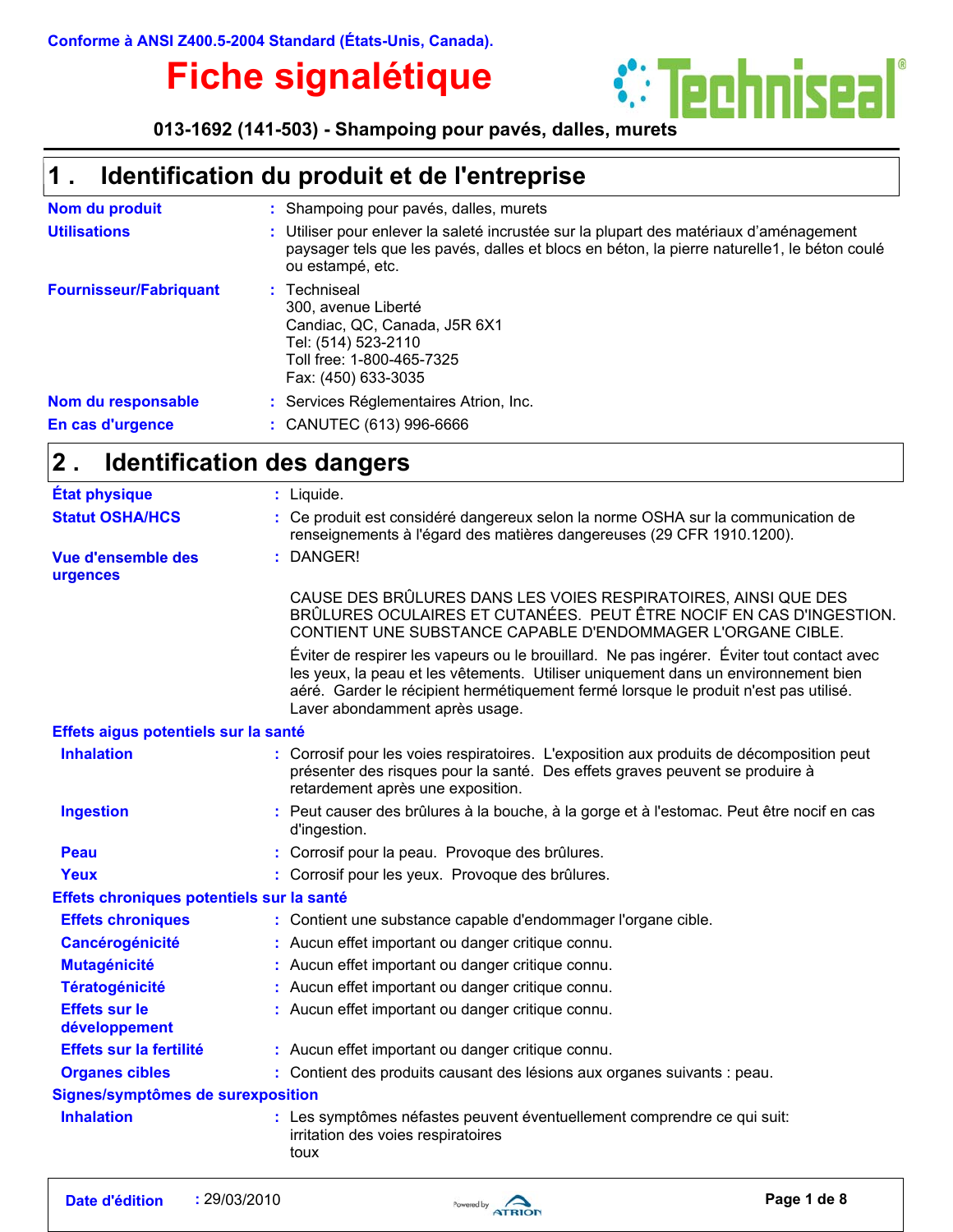## **Fiche signalétique**



**013-1692 (141-503) - Shampoing pour pavés, dalles, murets**

#### **Identification du produit et de l'entreprise 1 .**

| Nom du produit                | : Shampoing pour pavés, dalles, murets                                                                                                                                                                    |
|-------------------------------|-----------------------------------------------------------------------------------------------------------------------------------------------------------------------------------------------------------|
| <b>Utilisations</b>           | : Utiliser pour enlever la saleté incrustée sur la plupart des matériaux d'aménagement<br>paysager tels que les pavés, dalles et blocs en béton, la pierre naturelle1, le béton coulé<br>ou estampé, etc. |
| <b>Fournisseur/Fabriquant</b> | : Techniseal<br>300. avenue Liberté<br>Candiac, QC, Canada, J5R 6X1<br>Tel: (514) 523-2110<br>Toll free: 1-800-465-7325<br>Fax: (450) 633-3035                                                            |
| Nom du responsable            | : Services Réglementaires Atrion, Inc.                                                                                                                                                                    |
| En cas d'urgence              | $:$ CANUTEC (613) 996-6666                                                                                                                                                                                |

#### **Identification des dangers 2 .**

| <b>État physique</b>                      | : Liquide.                                                                                                                                                                                                                                                                                                |
|-------------------------------------------|-----------------------------------------------------------------------------------------------------------------------------------------------------------------------------------------------------------------------------------------------------------------------------------------------------------|
| <b>Statut OSHA/HCS</b>                    | : Ce produit est considéré dangereux selon la norme OSHA sur la communication de<br>renseignements à l'égard des matières dangereuses (29 CFR 1910.1200).                                                                                                                                                 |
| <b>Vue d'ensemble des</b><br>urgences     | : DANGER!                                                                                                                                                                                                                                                                                                 |
|                                           | CAUSE DES BRÛLURES DANS LES VOIES RESPIRATOIRES, AINSI QUE DES<br>BRÛLURES OCULAIRES ET CUTANÉES. PEUT ÊTRE NOCIF EN CAS D'INGESTION.<br>CONTIENT UNE SUBSTANCE CAPABLE D'ENDOMMAGER L'ORGANE CIBLE.                                                                                                      |
|                                           | Éviter de respirer les vapeurs ou le brouillard. Ne pas ingérer. Éviter tout contact avec<br>les yeux, la peau et les vêtements. Utiliser uniquement dans un environnement bien<br>aéré. Garder le récipient hermétiquement fermé lorsque le produit n'est pas utilisé.<br>Laver abondamment après usage. |
| Effets aigus potentiels sur la santé      |                                                                                                                                                                                                                                                                                                           |
| <b>Inhalation</b>                         | : Corrosif pour les voies respiratoires. L'exposition aux produits de décomposition peut<br>présenter des risques pour la santé. Des effets graves peuvent se produire à<br>retardement après une exposition.                                                                                             |
| <b>Ingestion</b>                          | : Peut causer des brûlures à la bouche, à la gorge et à l'estomac. Peut être nocif en cas<br>d'ingestion.                                                                                                                                                                                                 |
| Peau                                      | : Corrosif pour la peau. Provoque des brûlures.                                                                                                                                                                                                                                                           |
| Yeux                                      | : Corrosif pour les yeux. Provoque des brûlures.                                                                                                                                                                                                                                                          |
| Effets chroniques potentiels sur la santé |                                                                                                                                                                                                                                                                                                           |
| <b>Effets chroniques</b>                  | : Contient une substance capable d'endommager l'organe cible.                                                                                                                                                                                                                                             |
| <b>Cancérogénicité</b>                    | : Aucun effet important ou danger critique connu.                                                                                                                                                                                                                                                         |
| <b>Mutagénicité</b>                       | : Aucun effet important ou danger critique connu.                                                                                                                                                                                                                                                         |
| <b>Tératogénicité</b>                     | : Aucun effet important ou danger critique connu.                                                                                                                                                                                                                                                         |
| <b>Effets sur le</b><br>développement     | : Aucun effet important ou danger critique connu.                                                                                                                                                                                                                                                         |
| Effets sur la fertilité                   | : Aucun effet important ou danger critique connu.                                                                                                                                                                                                                                                         |
| <b>Organes cibles</b>                     | : Contient des produits causant des lésions aux organes suivants : peau.                                                                                                                                                                                                                                  |
| Signes/symptômes de surexposition         |                                                                                                                                                                                                                                                                                                           |
| <b>Inhalation</b>                         | : Les symptômes néfastes peuvent éventuellement comprendre ce qui suit:<br>irritation des voies respiratoires<br>toux                                                                                                                                                                                     |

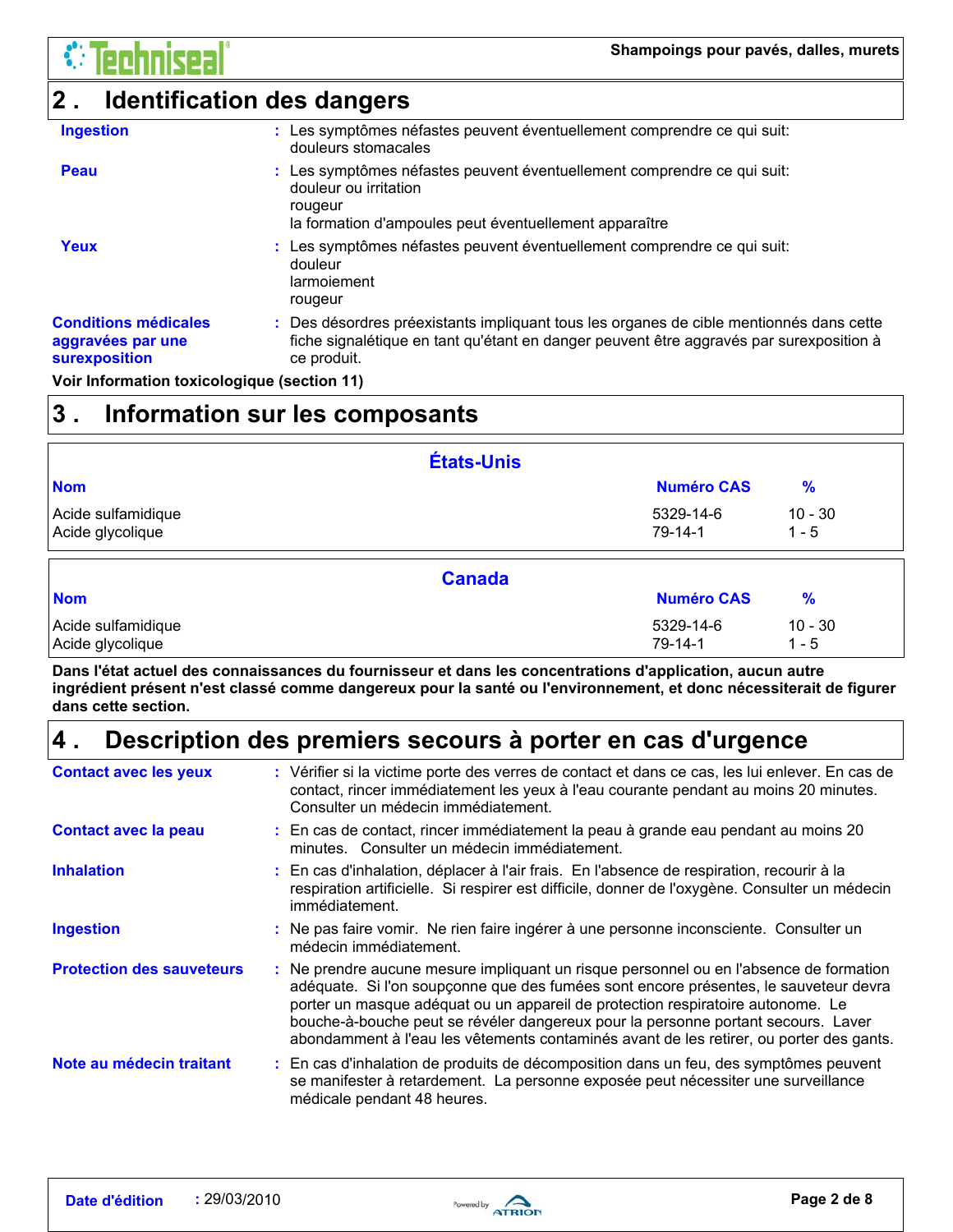### **2 . Identification des dangers**

| <b>Ingestion</b>                                                         | : Les symptômes néfastes peuvent éventuellement comprendre ce qui suit:<br>douleurs stomacales                                                                                                    |
|--------------------------------------------------------------------------|---------------------------------------------------------------------------------------------------------------------------------------------------------------------------------------------------|
| Peau                                                                     | : Les symptômes néfastes peuvent éventuellement comprendre ce qui suit:<br>douleur ou irritation<br>rougeur<br>la formation d'ampoules peut éventuellement apparaître                             |
| Yeux                                                                     | : Les symptômes néfastes peuvent éventuellement comprendre ce qui suit:<br>douleur<br>larmoiement<br>rougeur                                                                                      |
| <b>Conditions médicales</b><br>aggravées par une<br><b>surexposition</b> | : Des désordres préexistants impliquant tous les organes de cible mentionnés dans cette<br>fiche signalétique en tant qu'étant en danger peuvent être aggravés par surexposition à<br>ce produit. |

**Voir Information toxicologique (section 11)**

### **3 . Information sur les composants**

|                                        | États-Unis    |                      |                      |  |
|----------------------------------------|---------------|----------------------|----------------------|--|
| <b>Nom</b>                             |               | <b>Numéro CAS</b>    | $\frac{9}{6}$        |  |
| Acide sulfamidique<br>Acide glycolique |               | 5329-14-6<br>79-14-1 | $10 - 30$<br>$1 - 5$ |  |
|                                        | <b>Canada</b> |                      |                      |  |
| <b>Nom</b>                             |               | <b>Numéro CAS</b>    | $\frac{9}{6}$        |  |

**Dans l'état actuel des connaissances du fournisseur et dans les concentrations d'application, aucun autre ingrédient présent n'est classé comme dangereux pour la santé ou l'environnement, et donc nécessiterait de figurer dans cette section.**

#### **Description des premiers secours à porter en cas d'urgence 4 .**

Acide sulfamidique 10 - 30 Acide glycolique 1.5

| <b>Contact avec les yeux</b>     | : Vérifier si la victime porte des verres de contact et dans ce cas, les lui enlever. En cas de<br>contact, rincer immédiatement les yeux à l'eau courante pendant au moins 20 minutes.<br>Consulter un médecin immédiatement.                                                                                                                                                                                                                    |
|----------------------------------|---------------------------------------------------------------------------------------------------------------------------------------------------------------------------------------------------------------------------------------------------------------------------------------------------------------------------------------------------------------------------------------------------------------------------------------------------|
| <b>Contact avec la peau</b>      | : En cas de contact, rincer immédiatement la peau à grande eau pendant au moins 20<br>minutes. Consulter un médecin immédiatement.                                                                                                                                                                                                                                                                                                                |
| <b>Inhalation</b>                | : En cas d'inhalation, déplacer à l'air frais. En l'absence de respiration, recourir à la<br>respiration artificielle. Si respirer est difficile, donner de l'oxygène. Consulter un médecin<br>immédiatement.                                                                                                                                                                                                                                     |
| <b>Ingestion</b>                 | : Ne pas faire vomir. Ne rien faire ingérer à une personne inconsciente. Consulter un<br>médecin immédiatement.                                                                                                                                                                                                                                                                                                                                   |
| <b>Protection des sauveteurs</b> | : Ne prendre aucune mesure impliquant un risque personnel ou en l'absence de formation<br>adéquate. Si l'on soupçonne que des fumées sont encore présentes, le sauveteur devra<br>porter un masque adéquat ou un appareil de protection respiratoire autonome. Le<br>bouche-à-bouche peut se révéler dangereux pour la personne portant secours. Laver<br>abondamment à l'eau les vêtements contaminés avant de les retirer, ou porter des gants. |
| Note au médecin traitant         | : En cas d'inhalation de produits de décomposition dans un feu, des symptômes peuvent<br>se manifester à retardement. La personne exposée peut nécessiter une surveillance<br>médicale pendant 48 heures.                                                                                                                                                                                                                                         |

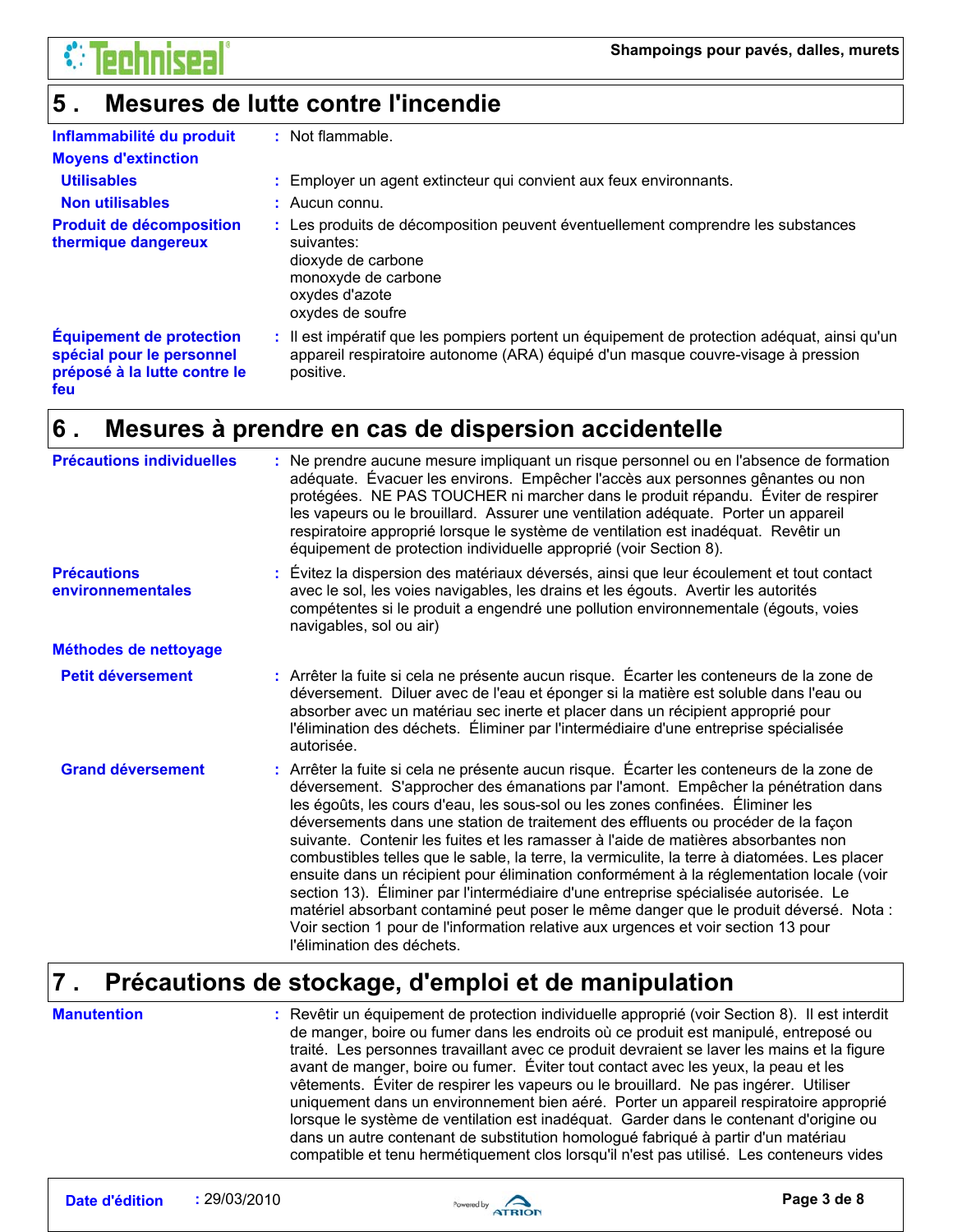

#### **Mesures de lutte contre l'incendie 5 .**

| Inflammabilité du produit<br><b>Moyens d'extinction</b>                                             | : Not flammable.                                                                                                                                                                              |
|-----------------------------------------------------------------------------------------------------|-----------------------------------------------------------------------------------------------------------------------------------------------------------------------------------------------|
| <b>Utilisables</b>                                                                                  | : Employer un agent extincteur qui convient aux feux environnants.                                                                                                                            |
| <b>Non utilisables</b>                                                                              | $:$ Aucun connu.                                                                                                                                                                              |
| <b>Produit de décomposition</b><br>thermique dangereux                                              | : Les produits de décomposition peuvent éventuellement comprendre les substances<br>suivantes:<br>dioxyde de carbone<br>monoxyde de carbone<br>oxydes d'azote<br>oxydes de soufre             |
| <b>Équipement de protection</b><br>spécial pour le personnel<br>préposé à la lutte contre le<br>feu | : Il est impératif que les pompiers portent un équipement de protection adéquat, ainsi qu'un<br>appareil respiratoire autonome (ARA) équipé d'un masque couvre-visage à pression<br>positive. |

#### **Mesures à prendre en cas de dispersion accidentelle 6 .**

| <b>Précautions individuelles</b>        | : Ne prendre aucune mesure impliquant un risque personnel ou en l'absence de formation<br>adéquate. Évacuer les environs. Empêcher l'accès aux personnes gênantes ou non<br>protégées. NE PAS TOUCHER ni marcher dans le produit répandu. Éviter de respirer<br>les vapeurs ou le brouillard. Assurer une ventilation adéquate. Porter un appareil<br>respiratoire approprié lorsque le système de ventilation est inadéquat. Revêtir un<br>équipement de protection individuelle approprié (voir Section 8).                                                                                                                                                                                                                                                                                                                                                                                                                                |
|-----------------------------------------|----------------------------------------------------------------------------------------------------------------------------------------------------------------------------------------------------------------------------------------------------------------------------------------------------------------------------------------------------------------------------------------------------------------------------------------------------------------------------------------------------------------------------------------------------------------------------------------------------------------------------------------------------------------------------------------------------------------------------------------------------------------------------------------------------------------------------------------------------------------------------------------------------------------------------------------------|
| <b>Précautions</b><br>environnementales | : Évitez la dispersion des matériaux déversés, ainsi que leur écoulement et tout contact<br>avec le sol, les voies navigables, les drains et les égouts. Avertir les autorités<br>compétentes si le produit a engendré une pollution environnementale (égouts, voies<br>navigables, sol ou air)                                                                                                                                                                                                                                                                                                                                                                                                                                                                                                                                                                                                                                              |
| Méthodes de nettoyage                   |                                                                                                                                                                                                                                                                                                                                                                                                                                                                                                                                                                                                                                                                                                                                                                                                                                                                                                                                              |
| Petit déversement                       | : Arrêter la fuite si cela ne présente aucun risque. Écarter les conteneurs de la zone de<br>déversement. Diluer avec de l'eau et éponger si la matière est soluble dans l'eau ou<br>absorber avec un matériau sec inerte et placer dans un récipient approprié pour<br>l'élimination des déchets. Éliminer par l'intermédiaire d'une entreprise spécialisée<br>autorisée.                                                                                                                                                                                                                                                                                                                                                                                                                                                                                                                                                                   |
| <b>Grand déversement</b>                | : Arrêter la fuite si cela ne présente aucun risque. Écarter les conteneurs de la zone de<br>déversement. S'approcher des émanations par l'amont. Empêcher la pénétration dans<br>les égoûts, les cours d'eau, les sous-sol ou les zones confinées. Éliminer les<br>déversements dans une station de traitement des effluents ou procéder de la façon<br>suivante. Contenir les fuites et les ramasser à l'aide de matières absorbantes non<br>combustibles telles que le sable, la terre, la vermiculite, la terre à diatomées. Les placer<br>ensuite dans un récipient pour élimination conformément à la réglementation locale (voir<br>section 13). Éliminer par l'intermédiaire d'une entreprise spécialisée autorisée. Le<br>matériel absorbant contaminé peut poser le même danger que le produit déversé. Nota :<br>Voir section 1 pour de l'information relative aux urgences et voir section 13 pour<br>l'élimination des déchets. |

#### **Précautions de stockage, d'emploi et de manipulation 7 .**

**Manutention :**

Revêtir un équipement de protection individuelle approprié (voir Section 8). Il est interdit de manger, boire ou fumer dans les endroits où ce produit est manipulé, entreposé ou traité. Les personnes travaillant avec ce produit devraient se laver les mains et la figure avant de manger, boire ou fumer. Éviter tout contact avec les yeux, la peau et les vêtements. Éviter de respirer les vapeurs ou le brouillard. Ne pas ingérer. Utiliser uniquement dans un environnement bien aéré. Porter un appareil respiratoire approprié lorsque le système de ventilation est inadéquat. Garder dans le contenant d'origine ou dans un autre contenant de substitution homologué fabriqué à partir d'un matériau compatible et tenu hermétiquement clos lorsqu'il n'est pas utilisé. Les conteneurs vides

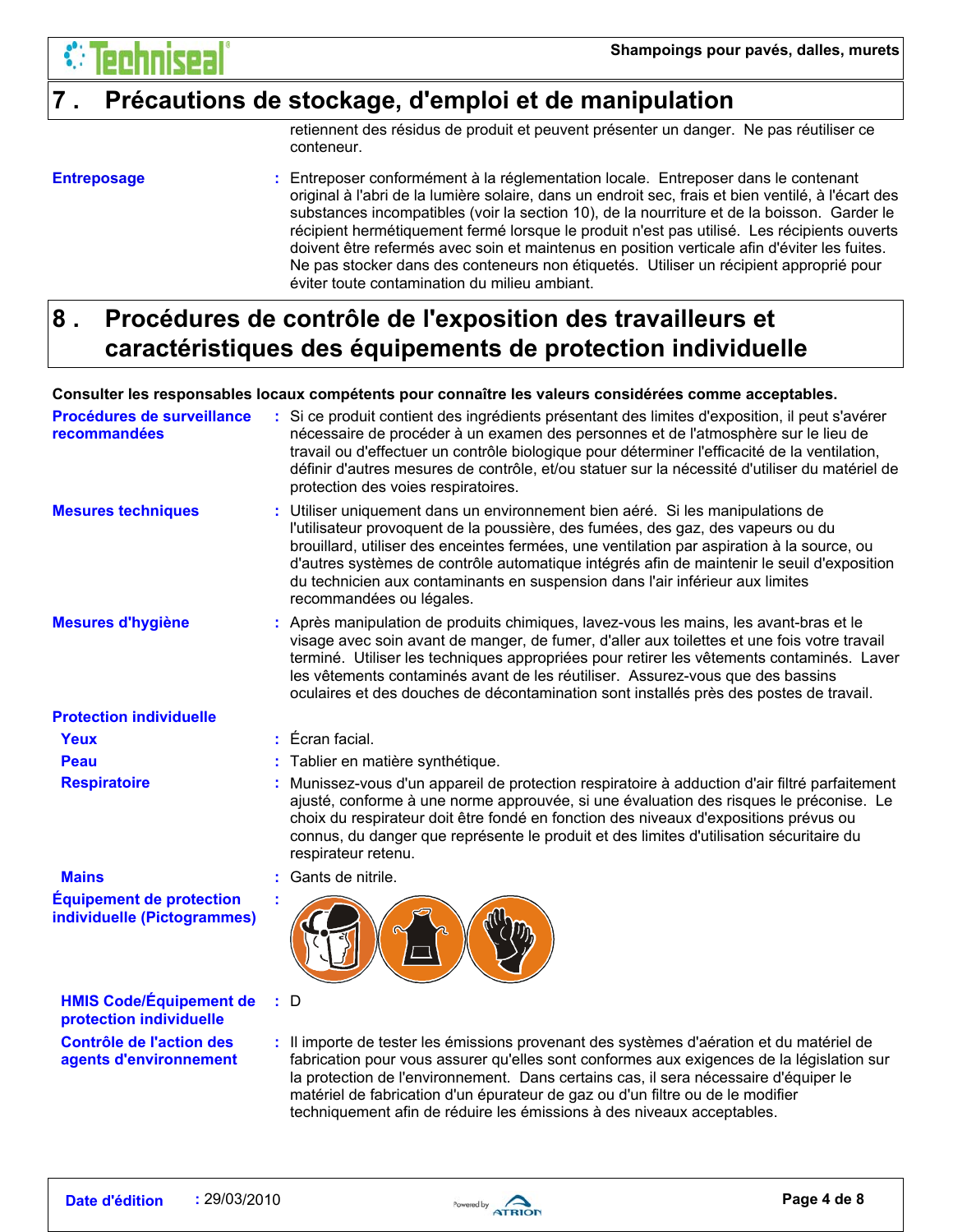

### **7 . Précautions de stockage, d'emploi et de manipulation**

retiennent des résidus de produit et peuvent présenter un danger. Ne pas réutiliser ce conteneur.

#### **Entreposage :**

Entreposer conformément à la réglementation locale. Entreposer dans le contenant original à l'abri de la lumière solaire, dans un endroit sec, frais et bien ventilé, à l'écart des substances incompatibles (voir la section 10), de la nourriture et de la boisson. Garder le récipient hermétiquement fermé lorsque le produit n'est pas utilisé. Les récipients ouverts doivent être refermés avec soin et maintenus en position verticale afin d'éviter les fuites. Ne pas stocker dans des conteneurs non étiquetés. Utiliser un récipient approprié pour éviter toute contamination du milieu ambiant.

### **Procédures de contrôle de l'exposition des travailleurs et caractéristiques des équipements de protection individuelle 8 .**

### **Consulter les responsables locaux compétents pour connaître les valeurs considérées comme acceptables.**

| Procédures de surveillance<br>recommandées                     | Si ce produit contient des ingrédients présentant des limites d'exposition, il peut s'avérer<br>nécessaire de procéder à un examen des personnes et de l'atmosphère sur le lieu de<br>travail ou d'effectuer un contrôle biologique pour déterminer l'efficacité de la ventilation,<br>définir d'autres mesures de contrôle, et/ou statuer sur la nécessité d'utiliser du matériel de<br>protection des voies respiratoires.                                                |
|----------------------------------------------------------------|-----------------------------------------------------------------------------------------------------------------------------------------------------------------------------------------------------------------------------------------------------------------------------------------------------------------------------------------------------------------------------------------------------------------------------------------------------------------------------|
| <b>Mesures techniques</b>                                      | : Utiliser uniquement dans un environnement bien aéré. Si les manipulations de<br>l'utilisateur provoquent de la poussière, des fumées, des gaz, des vapeurs ou du<br>brouillard, utiliser des enceintes fermées, une ventilation par aspiration à la source, ou<br>d'autres systèmes de contrôle automatique intégrés afin de maintenir le seuil d'exposition<br>du technicien aux contaminants en suspension dans l'air inférieur aux limites<br>recommandées ou légales. |
| <b>Mesures d'hygiène</b>                                       | : Après manipulation de produits chimiques, lavez-vous les mains, les avant-bras et le<br>visage avec soin avant de manger, de fumer, d'aller aux toilettes et une fois votre travail<br>terminé. Utiliser les techniques appropriées pour retirer les vêtements contaminés. Laver<br>les vêtements contaminés avant de les réutiliser. Assurez-vous que des bassins<br>oculaires et des douches de décontamination sont installés près des postes de travail.              |
| <b>Protection individuelle</b>                                 |                                                                                                                                                                                                                                                                                                                                                                                                                                                                             |
| Yeux                                                           | $:$ Écran facial.                                                                                                                                                                                                                                                                                                                                                                                                                                                           |
| Peau                                                           | Tablier en matière synthétique.                                                                                                                                                                                                                                                                                                                                                                                                                                             |
| <b>Respiratoire</b>                                            | Munissez-vous d'un appareil de protection respiratoire à adduction d'air filtré parfaitement<br>ajusté, conforme à une norme approuvée, si une évaluation des risques le préconise. Le<br>choix du respirateur doit être fondé en fonction des niveaux d'expositions prévus ou<br>connus, du danger que représente le produit et des limites d'utilisation sécuritaire du<br>respirateur retenu.                                                                            |
| <b>Mains</b>                                                   | : Gants de nitrile.                                                                                                                                                                                                                                                                                                                                                                                                                                                         |
| <b>Équipement de protection</b><br>individuelle (Pictogrammes) |                                                                                                                                                                                                                                                                                                                                                                                                                                                                             |
| <b>HMIS Code/Équipement de</b><br>protection individuelle      | : D                                                                                                                                                                                                                                                                                                                                                                                                                                                                         |
| <b>Contrôle de l'action des</b><br>agents d'environnement      | : Il importe de tester les émissions provenant des systèmes d'aération et du matériel de<br>fabrication pour vous assurer qu'elles sont conformes aux exigences de la législation sur<br>la protection de l'environnement. Dans certains cas, il sera nécessaire d'équiper le<br>matériel de fabrication d'un épurateur de gaz ou d'un filtre ou de le modifier                                                                                                             |



techniquement afin de réduire les émissions à des niveaux acceptables.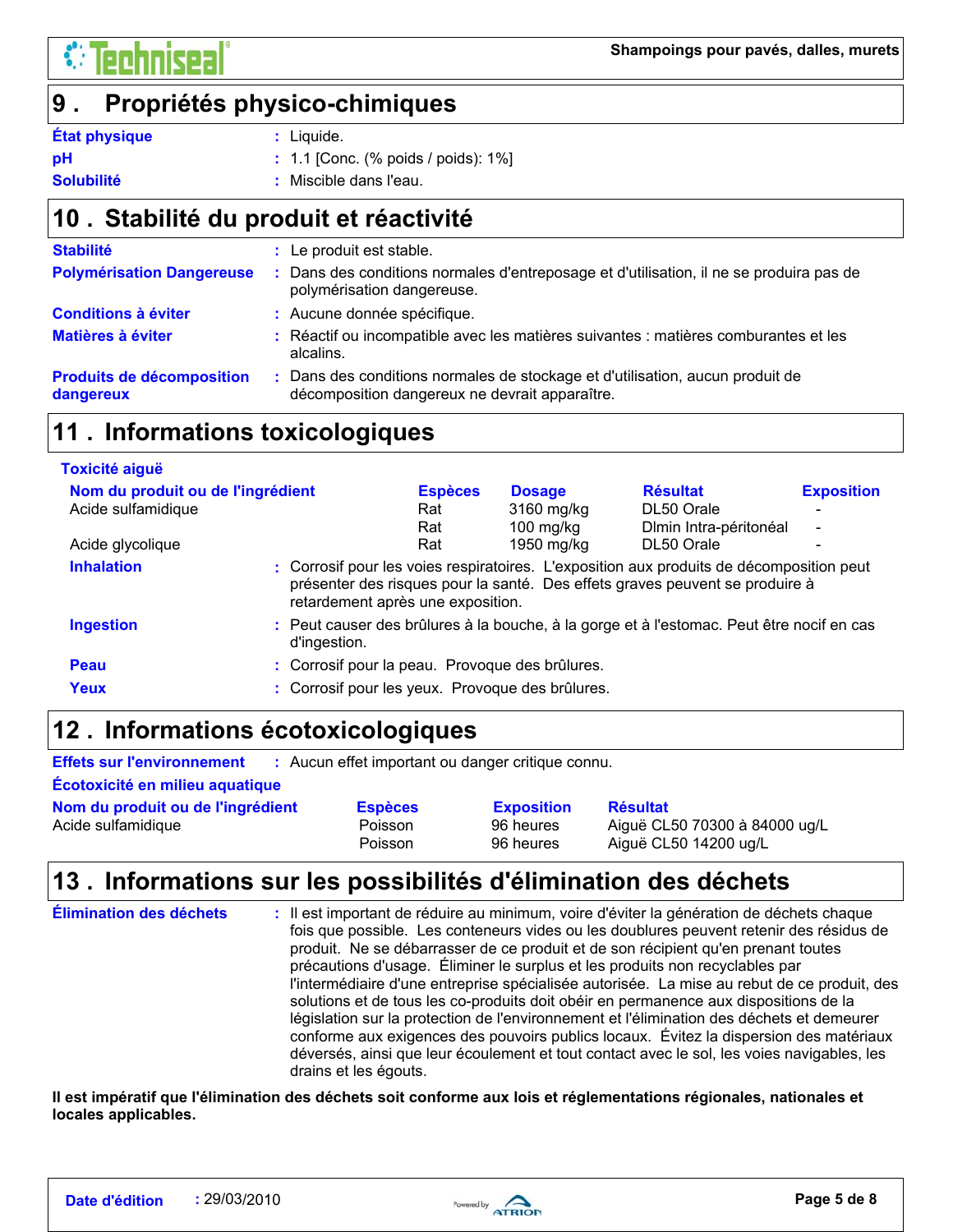#### **Propriétés physico-chimiques 9 .**

#### **État physique**

: Liquide.

**pH**

1.1 [Conc. (% poids / poids): 1%] **:**

#### Miscible dans l'eau. **: Solubilité**

### **Stabilité du produit et réactivité 10 .**

| <b>Stabilité</b>                              | : Le produit est stable.                                                                                                      |
|-----------------------------------------------|-------------------------------------------------------------------------------------------------------------------------------|
| <b>Polymérisation Dangereuse</b>              | Dans des conditions normales d'entreposage et d'utilisation, il ne se produira pas de<br>polymérisation dangereuse.           |
| <b>Conditions à éviter</b>                    | : Aucune donnée spécifique.                                                                                                   |
| Matières à éviter                             | : Réactif ou incompatible avec les matières suivantes : matières comburantes et les<br>alcalins.                              |
| <b>Produits de décomposition</b><br>dangereux | Dans des conditions normales de stockage et d'utilisation, aucun produit de<br>décomposition dangereux ne devrait apparaître. |

### **11 . Informations toxicologiques**

| <b>Toxicité aiguë</b>             |                                                  |                |               |                                                                                                                                                                          |                          |
|-----------------------------------|--------------------------------------------------|----------------|---------------|--------------------------------------------------------------------------------------------------------------------------------------------------------------------------|--------------------------|
| Nom du produit ou de l'ingrédient |                                                  | <b>Espèces</b> | <b>Dosage</b> | <b>Résultat</b>                                                                                                                                                          | <b>Exposition</b>        |
| Acide sulfamidique                |                                                  | Rat            | 3160 mg/kg    | DL50 Orale                                                                                                                                                               | $\overline{\phantom{a}}$ |
|                                   |                                                  | Rat            | $100$ mg/kg   | Dimin Intra-péritonéal                                                                                                                                                   | $\overline{\phantom{0}}$ |
| Acide glycolique                  |                                                  | Rat            | 1950 mg/kg    | DL50 Orale                                                                                                                                                               |                          |
| <b>Inhalation</b>                 | retardement après une exposition.                |                |               | : Corrosif pour les voies respiratoires. L'exposition aux produits de décomposition peut<br>présenter des risques pour la santé. Des effets graves peuvent se produire à |                          |
| <b>Ingestion</b>                  | d'ingestion.                                     |                |               | : Peut causer des brûlures à la bouche, à la gorge et à l'estomac. Peut être nocif en cas                                                                                |                          |
| Peau                              | : Corrosif pour la peau. Provoque des brûlures.  |                |               |                                                                                                                                                                          |                          |
| Yeux                              | : Corrosif pour les yeux. Provoque des brûlures. |                |               |                                                                                                                                                                          |                          |

### **Informations écotoxicologiques 12 .**

**Effets sur l'environnement :** Aucun effet important ou danger critique connu.

**Écotoxicité en milieu aquatique** Acide sulfamidique **Acide** Sulfamidique **Poisson** 96 heures Aiguë CL50 70300 à 84000 ug/L Poisson 96 heures Aiguë CL50 14200 ug/L **Nom du produit ou de l'ingrédient Lauresses Exposition Résultat** 

### **Informations sur les possibilités d'élimination des déchets 13 .**

| Élimination des déchets | : Il est important de réduire au minimum, voire d'éviter la génération de déchets chaque<br>fois que possible. Les conteneurs vides ou les doublures peuvent retenir des résidus de<br>produit. Ne se débarrasser de ce produit et de son récipient qu'en prenant toutes<br>précautions d'usage. Éliminer le surplus et les produits non recyclables par<br>l'intermédiaire d'une entreprise spécialisée autorisée. La mise au rebut de ce produit, des<br>solutions et de tous les co-produits doit obéir en permanence aux dispositions de la<br>législation sur la protection de l'environnement et l'élimination des déchets et demeurer<br>conforme aux exigences des pouvoirs publics locaux. Évitez la dispersion des matériaux<br>déversés, ainsi que leur écoulement et tout contact avec le sol, les voies navigables, les<br>drains et les égouts. |
|-------------------------|---------------------------------------------------------------------------------------------------------------------------------------------------------------------------------------------------------------------------------------------------------------------------------------------------------------------------------------------------------------------------------------------------------------------------------------------------------------------------------------------------------------------------------------------------------------------------------------------------------------------------------------------------------------------------------------------------------------------------------------------------------------------------------------------------------------------------------------------------------------|
|-------------------------|---------------------------------------------------------------------------------------------------------------------------------------------------------------------------------------------------------------------------------------------------------------------------------------------------------------------------------------------------------------------------------------------------------------------------------------------------------------------------------------------------------------------------------------------------------------------------------------------------------------------------------------------------------------------------------------------------------------------------------------------------------------------------------------------------------------------------------------------------------------|

**Il est impératif que l'élimination des déchets soit conforme aux lois et réglementations régionales, nationales et locales applicables.**

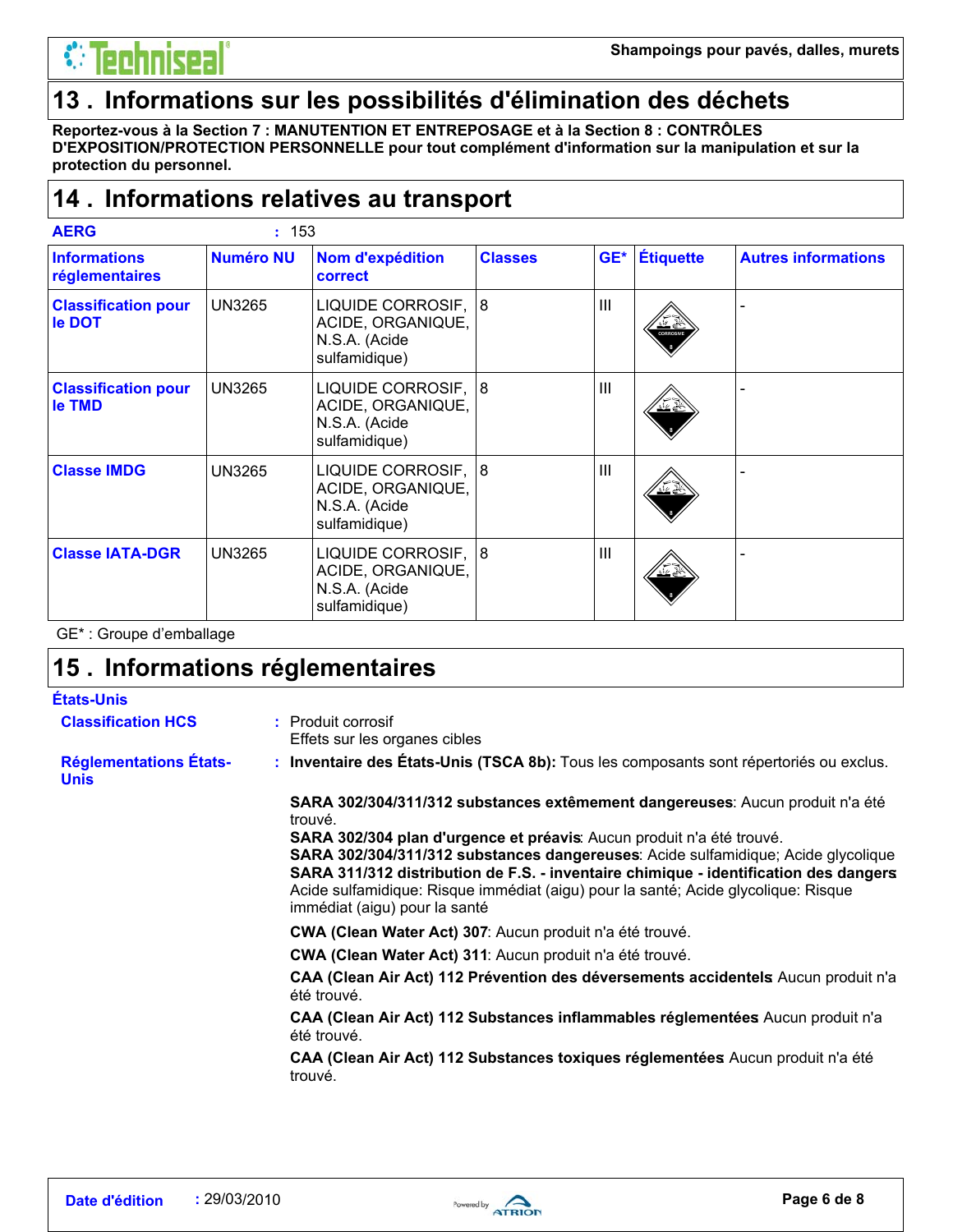### **13 . Informations sur les possibilités d'élimination des déchets**

**Reportez-vous à la Section 7 : MANUTENTION ET ENTREPOSAGE et à la Section 8 : CONTRÔLES D'EXPOSITION/PROTECTION PERSONNELLE pour tout complément d'information sur la manipulation et sur la protection du personnel.**

### **Informations relatives au transport 14 .**

| <b>AERG</b>                           | : 153            |                                                                            |                |                |                  |                            |
|---------------------------------------|------------------|----------------------------------------------------------------------------|----------------|----------------|------------------|----------------------------|
| <b>Informations</b><br>réglementaires | <b>Numéro NU</b> | Nom d'expédition<br>correct                                                | <b>Classes</b> | GE*            | <b>Étiquette</b> | <b>Autres informations</b> |
| <b>Classification pour</b><br>le DOT  | <b>UN3265</b>    | LIQUIDE CORROSIF,<br>ACIDE, ORGANIQUE,<br>N.S.A. (Acide<br>sulfamidique)   | 8              | $\mathbf{III}$ | پخت<br>CORROSIVI |                            |
| <b>Classification pour</b><br>le TMD  | <b>UN3265</b>    | LIQUIDE CORROSIF, 8<br>ACIDE, ORGANIQUE,<br>N.S.A. (Acide<br>sulfamidique) |                | $\mathbf{III}$ | <u>कर</u> हु     |                            |
| <b>Classe IMDG</b>                    | <b>UN3265</b>    | LIQUIDE CORROSIF, 8<br>ACIDE, ORGANIQUE,<br>N.S.A. (Acide<br>sulfamidique) |                | $\mathbf{III}$ | <u>भर हैं:</u>   |                            |
| <b>Classe IATA-DGR</b>                | <b>UN3265</b>    | LIQUIDE CORROSIF, 8<br>ACIDE, ORGANIQUE,<br>N.S.A. (Acide<br>sulfamidique) |                | III            | यत्र ≶           |                            |

GE\* : Groupe d'emballage

### **Informations réglementaires 15 .**

### **États-Unis**

- Produit corrosif **:**
- Effets sur les organes cibles

**Réglementations États-Unis**

**Classification HCS**

**Inventaire des États-Unis (TSCA 8b):** Tous les composants sont répertoriés ou exclus. **:**

**SARA 302/304/311/312 substances extêmement dangereuses**: Aucun produit n'a été trouvé.

**SARA 302/304 plan d'urgence et préavis**: Aucun produit n'a été trouvé. **SARA 302/304/311/312 substances dangereuses**: Acide sulfamidique; Acide glycolique **SARA 311/312 distribution de F.S. - inventaire chimique - identification des dangers**:

Acide sulfamidique: Risque immédiat (aigu) pour la santé; Acide glycolique: Risque immédiat (aigu) pour la santé

**CWA (Clean Water Act) 307**: Aucun produit n'a été trouvé.

**CWA (Clean Water Act) 311**: Aucun produit n'a été trouvé.

**CAA (Clean Air Act) 112 Prévention des déversements accidentels**: Aucun produit n'a été trouvé.

**CAA (Clean Air Act) 112 Substances inflammables réglementées**: Aucun produit n'a été trouvé.

**CAA (Clean Air Act) 112 Substances toxiques réglementées**: Aucun produit n'a été trouvé.

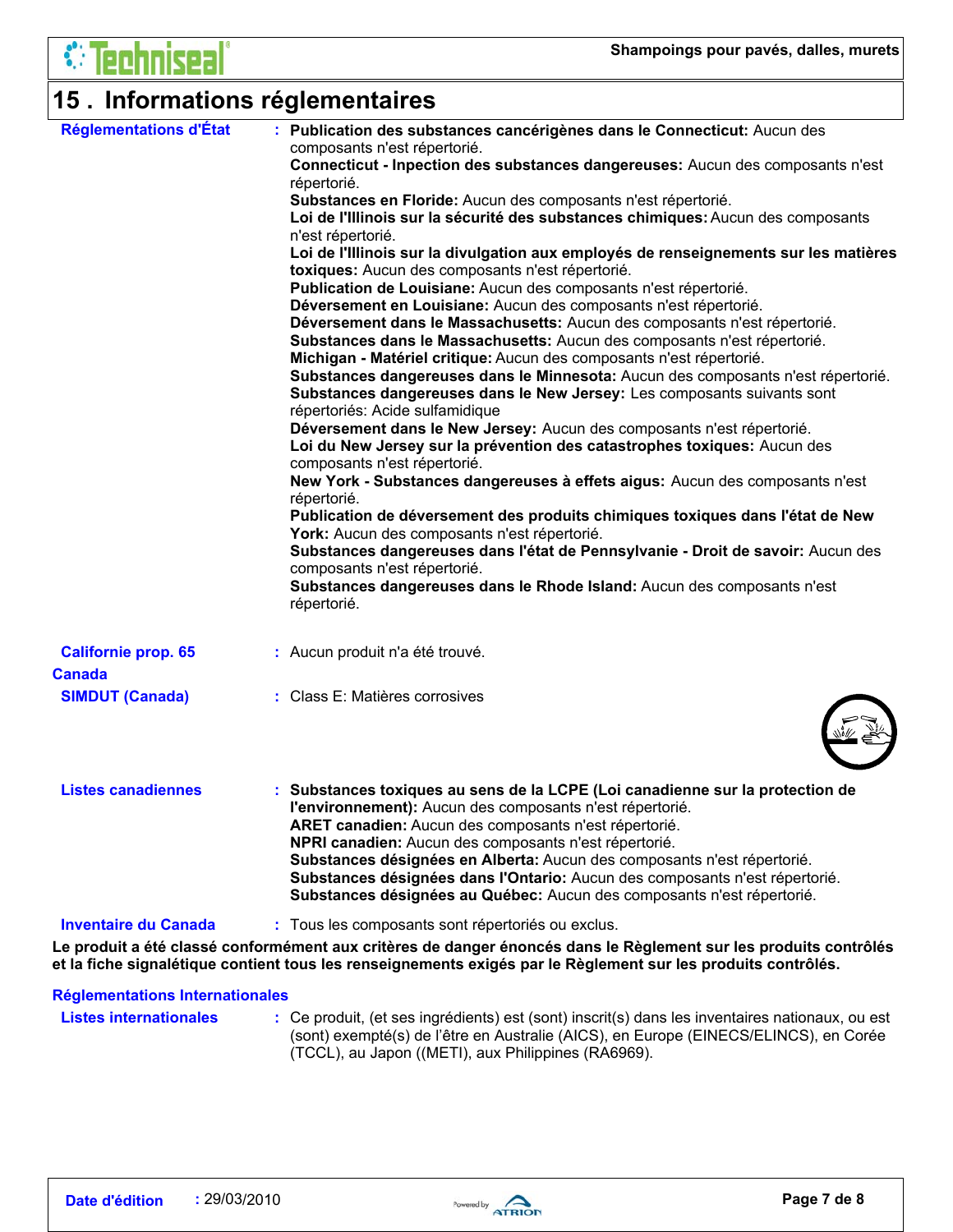# **15 . Informations réglementaires**

| Réglementations d'État      | : Publication des substances cancérigènes dans le Connecticut: Aucun des<br>composants n'est répertorié.<br>Connecticut - Inpection des substances dangereuses: Aucun des composants n'est<br>répertorié.<br>Substances en Floride: Aucun des composants n'est répertorié.<br>Loi de l'Illinois sur la sécurité des substances chimiques: Aucun des composants<br>n'est répertorié.<br>Loi de l'Illinois sur la divulgation aux employés de renseignements sur les matières<br>toxiques: Aucun des composants n'est répertorié.<br>Publication de Louisiane: Aucun des composants n'est répertorié.<br>Déversement en Louisiane: Aucun des composants n'est répertorié.<br>Déversement dans le Massachusetts: Aucun des composants n'est répertorié.<br>Substances dans le Massachusetts: Aucun des composants n'est répertorié.<br>Michigan - Matériel critique: Aucun des composants n'est répertorié.<br>Substances dangereuses dans le Minnesota: Aucun des composants n'est répertorié.<br>Substances dangereuses dans le New Jersey: Les composants suivants sont<br>répertoriés: Acide sulfamidique<br>Déversement dans le New Jersey: Aucun des composants n'est répertorié. |
|-----------------------------|--------------------------------------------------------------------------------------------------------------------------------------------------------------------------------------------------------------------------------------------------------------------------------------------------------------------------------------------------------------------------------------------------------------------------------------------------------------------------------------------------------------------------------------------------------------------------------------------------------------------------------------------------------------------------------------------------------------------------------------------------------------------------------------------------------------------------------------------------------------------------------------------------------------------------------------------------------------------------------------------------------------------------------------------------------------------------------------------------------------------------------------------------------------------------------------|
|                             |                                                                                                                                                                                                                                                                                                                                                                                                                                                                                                                                                                                                                                                                                                                                                                                                                                                                                                                                                                                                                                                                                                                                                                                      |
|                             |                                                                                                                                                                                                                                                                                                                                                                                                                                                                                                                                                                                                                                                                                                                                                                                                                                                                                                                                                                                                                                                                                                                                                                                      |
|                             |                                                                                                                                                                                                                                                                                                                                                                                                                                                                                                                                                                                                                                                                                                                                                                                                                                                                                                                                                                                                                                                                                                                                                                                      |
|                             |                                                                                                                                                                                                                                                                                                                                                                                                                                                                                                                                                                                                                                                                                                                                                                                                                                                                                                                                                                                                                                                                                                                                                                                      |
|                             |                                                                                                                                                                                                                                                                                                                                                                                                                                                                                                                                                                                                                                                                                                                                                                                                                                                                                                                                                                                                                                                                                                                                                                                      |
|                             |                                                                                                                                                                                                                                                                                                                                                                                                                                                                                                                                                                                                                                                                                                                                                                                                                                                                                                                                                                                                                                                                                                                                                                                      |
|                             |                                                                                                                                                                                                                                                                                                                                                                                                                                                                                                                                                                                                                                                                                                                                                                                                                                                                                                                                                                                                                                                                                                                                                                                      |
|                             |                                                                                                                                                                                                                                                                                                                                                                                                                                                                                                                                                                                                                                                                                                                                                                                                                                                                                                                                                                                                                                                                                                                                                                                      |
|                             |                                                                                                                                                                                                                                                                                                                                                                                                                                                                                                                                                                                                                                                                                                                                                                                                                                                                                                                                                                                                                                                                                                                                                                                      |
|                             |                                                                                                                                                                                                                                                                                                                                                                                                                                                                                                                                                                                                                                                                                                                                                                                                                                                                                                                                                                                                                                                                                                                                                                                      |
|                             |                                                                                                                                                                                                                                                                                                                                                                                                                                                                                                                                                                                                                                                                                                                                                                                                                                                                                                                                                                                                                                                                                                                                                                                      |
|                             |                                                                                                                                                                                                                                                                                                                                                                                                                                                                                                                                                                                                                                                                                                                                                                                                                                                                                                                                                                                                                                                                                                                                                                                      |
|                             |                                                                                                                                                                                                                                                                                                                                                                                                                                                                                                                                                                                                                                                                                                                                                                                                                                                                                                                                                                                                                                                                                                                                                                                      |
|                             |                                                                                                                                                                                                                                                                                                                                                                                                                                                                                                                                                                                                                                                                                                                                                                                                                                                                                                                                                                                                                                                                                                                                                                                      |
|                             |                                                                                                                                                                                                                                                                                                                                                                                                                                                                                                                                                                                                                                                                                                                                                                                                                                                                                                                                                                                                                                                                                                                                                                                      |
|                             |                                                                                                                                                                                                                                                                                                                                                                                                                                                                                                                                                                                                                                                                                                                                                                                                                                                                                                                                                                                                                                                                                                                                                                                      |
|                             | Loi du New Jersey sur la prévention des catastrophes toxiques: Aucun des<br>composants n'est répertorié.                                                                                                                                                                                                                                                                                                                                                                                                                                                                                                                                                                                                                                                                                                                                                                                                                                                                                                                                                                                                                                                                             |
|                             | New York - Substances dangereuses à effets aigus: Aucun des composants n'est                                                                                                                                                                                                                                                                                                                                                                                                                                                                                                                                                                                                                                                                                                                                                                                                                                                                                                                                                                                                                                                                                                         |
|                             | répertorié.                                                                                                                                                                                                                                                                                                                                                                                                                                                                                                                                                                                                                                                                                                                                                                                                                                                                                                                                                                                                                                                                                                                                                                          |
|                             | Publication de déversement des produits chimiques toxiques dans l'état de New                                                                                                                                                                                                                                                                                                                                                                                                                                                                                                                                                                                                                                                                                                                                                                                                                                                                                                                                                                                                                                                                                                        |
|                             | York: Aucun des composants n'est répertorié.                                                                                                                                                                                                                                                                                                                                                                                                                                                                                                                                                                                                                                                                                                                                                                                                                                                                                                                                                                                                                                                                                                                                         |
|                             | Substances dangereuses dans l'état de Pennsylvanie - Droit de savoir: Aucun des                                                                                                                                                                                                                                                                                                                                                                                                                                                                                                                                                                                                                                                                                                                                                                                                                                                                                                                                                                                                                                                                                                      |
|                             | composants n'est répertorié.                                                                                                                                                                                                                                                                                                                                                                                                                                                                                                                                                                                                                                                                                                                                                                                                                                                                                                                                                                                                                                                                                                                                                         |
|                             | Substances dangereuses dans le Rhode Island: Aucun des composants n'est                                                                                                                                                                                                                                                                                                                                                                                                                                                                                                                                                                                                                                                                                                                                                                                                                                                                                                                                                                                                                                                                                                              |
|                             | répertorié.                                                                                                                                                                                                                                                                                                                                                                                                                                                                                                                                                                                                                                                                                                                                                                                                                                                                                                                                                                                                                                                                                                                                                                          |
|                             |                                                                                                                                                                                                                                                                                                                                                                                                                                                                                                                                                                                                                                                                                                                                                                                                                                                                                                                                                                                                                                                                                                                                                                                      |
| <b>Californie prop. 65</b>  | : Aucun produit n'a été trouvé.                                                                                                                                                                                                                                                                                                                                                                                                                                                                                                                                                                                                                                                                                                                                                                                                                                                                                                                                                                                                                                                                                                                                                      |
| <b>Canada</b>               |                                                                                                                                                                                                                                                                                                                                                                                                                                                                                                                                                                                                                                                                                                                                                                                                                                                                                                                                                                                                                                                                                                                                                                                      |
| <b>SIMDUT (Canada)</b>      | : Class E: Matières corrosives                                                                                                                                                                                                                                                                                                                                                                                                                                                                                                                                                                                                                                                                                                                                                                                                                                                                                                                                                                                                                                                                                                                                                       |
|                             |                                                                                                                                                                                                                                                                                                                                                                                                                                                                                                                                                                                                                                                                                                                                                                                                                                                                                                                                                                                                                                                                                                                                                                                      |
| <b>Listes canadiennes</b>   | : Substances toxiques au sens de la LCPE (Loi canadienne sur la protection de                                                                                                                                                                                                                                                                                                                                                                                                                                                                                                                                                                                                                                                                                                                                                                                                                                                                                                                                                                                                                                                                                                        |
|                             | l'environnement): Aucun des composants n'est répertorié.                                                                                                                                                                                                                                                                                                                                                                                                                                                                                                                                                                                                                                                                                                                                                                                                                                                                                                                                                                                                                                                                                                                             |
|                             | ARET canadien: Aucun des composants n'est répertorié.                                                                                                                                                                                                                                                                                                                                                                                                                                                                                                                                                                                                                                                                                                                                                                                                                                                                                                                                                                                                                                                                                                                                |
|                             | NPRI canadien: Aucun des composants n'est répertorié.                                                                                                                                                                                                                                                                                                                                                                                                                                                                                                                                                                                                                                                                                                                                                                                                                                                                                                                                                                                                                                                                                                                                |
|                             | Substances désignées en Alberta: Aucun des composants n'est répertorié.                                                                                                                                                                                                                                                                                                                                                                                                                                                                                                                                                                                                                                                                                                                                                                                                                                                                                                                                                                                                                                                                                                              |
|                             | Substances désignées dans l'Ontario: Aucun des composants n'est répertorié.                                                                                                                                                                                                                                                                                                                                                                                                                                                                                                                                                                                                                                                                                                                                                                                                                                                                                                                                                                                                                                                                                                          |
|                             | Substances désignées au Québec: Aucun des composants n'est répertorié.                                                                                                                                                                                                                                                                                                                                                                                                                                                                                                                                                                                                                                                                                                                                                                                                                                                                                                                                                                                                                                                                                                               |
| <b>Inventaire du Canada</b> | : Tous les composants sont répertoriés ou exclus.                                                                                                                                                                                                                                                                                                                                                                                                                                                                                                                                                                                                                                                                                                                                                                                                                                                                                                                                                                                                                                                                                                                                    |
|                             | Le produit a été classé conformément aux critères de danger énoncés dans le Règlement sur les produits contrôlés<br>et la fiche signalétique contient tous les renseignements exigés par le Règlement sur les produits contrôlés.                                                                                                                                                                                                                                                                                                                                                                                                                                                                                                                                                                                                                                                                                                                                                                                                                                                                                                                                                    |

### **Réglementations Internationales**

| Listes internationales | : Ce produit, (et ses ingrédients) est (sont) inscrit(s) dans les inventaires nationaux, ou est |
|------------------------|-------------------------------------------------------------------------------------------------|
|                        | (sont) exempté(s) de l'être en Australie (AICS), en Europe (EINECS/ELINCS), en Corée            |
|                        | (TCCL), au Japon ((METI), aux Philippines (RA6969).                                             |